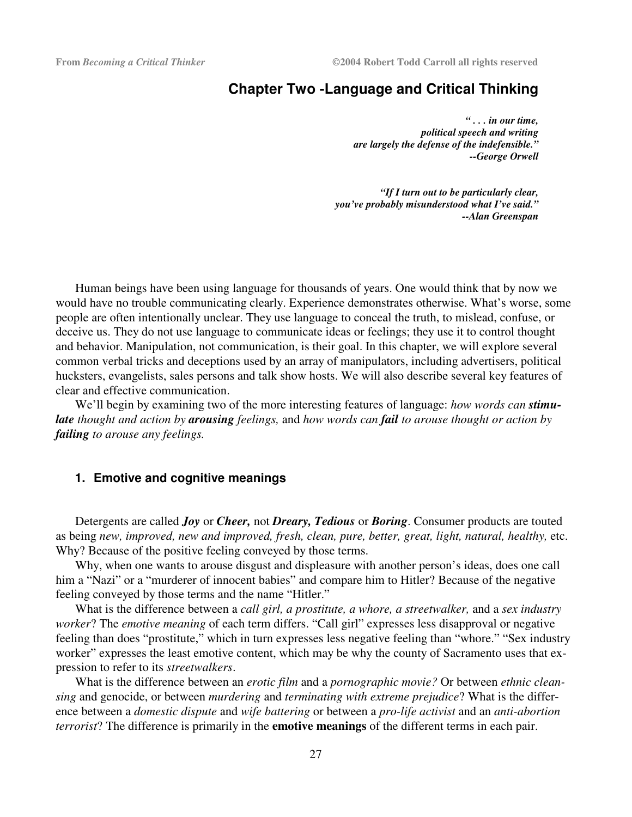# **Chapter Two -Language and Critical Thinking**

*" . . . in our time, political speech and writing are largely the defense of the indefensible." --George Orwell*

*"If I turn out to be particularly clear, you've probably misunderstood what I've said." --Alan Greenspan*

Human beings have been using language for thousands of years. One would think that by now we would have no trouble communicating clearly. Experience demonstrates otherwise. What's worse, some people are often intentionally unclear. They use language to conceal the truth, to mislead, confuse, or deceive us. They do not use language to communicate ideas or feelings; they use it to control thought and behavior. Manipulation, not communication, is their goal. In this chapter, we will explore several common verbal tricks and deceptions used by an array of manipulators, including advertisers, political hucksters, evangelists, sales persons and talk show hosts. We will also describe several key features of clear and effective communication.

We'll begin by examining two of the more interesting features of language: *how words can stimulate thought and action by arousing feelings,* and *how words can fail to arouse thought or action by failing to arouse any feelings.*

## **1. Emotive and cognitive meanings**

Detergents are called *Joy* or *Cheer,* not *Dreary, Tedious* or *Boring*. Consumer products are touted as being *new, improved, new and improved, fresh, clean, pure, better, great, light, natural, healthy,* etc. Why? Because of the positive feeling conveyed by those terms.

Why, when one wants to arouse disgust and displeasure with another person's ideas, does one call him a "Nazi" or a "murderer of innocent babies" and compare him to Hitler? Because of the negative feeling conveyed by those terms and the name "Hitler."

What is the difference between a *call girl, a prostitute, a whore, a streetwalker,* and a *sex industry worker*? The *emotive meaning* of each term differs. "Call girl" expresses less disapproval or negative feeling than does "prostitute," which in turn expresses less negative feeling than "whore." "Sex industry worker" expresses the least emotive content, which may be why the county of Sacramento uses that expression to refer to its *streetwalkers*.

What is the difference between an *erotic film* and a *pornographic movie?* Or between *ethnic cleansing* and genocide, or between *murdering* and *terminating with extreme prejudice*? What is the difference between a *domestic dispute* and *wife battering* or between a *pro-life activist* and an *anti-abortion terrorist*? The difference is primarily in the **emotive meanings** of the different terms in each pair.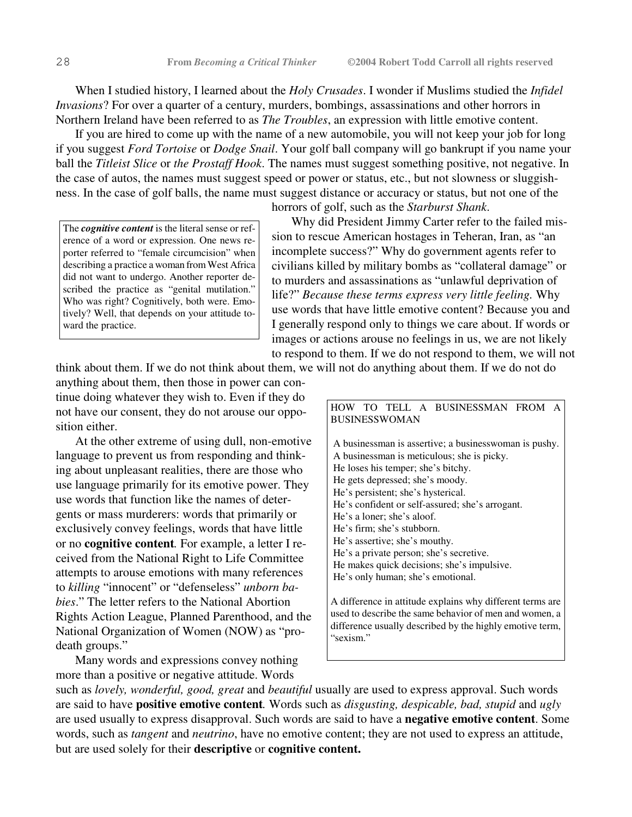When I studied history, I learned about the *Holy Crusades*. I wonder if Muslims studied the *Infidel Invasions*? For over a quarter of a century, murders, bombings, assassinations and other horrors in Northern Ireland have been referred to as *The Troubles*, an expression with little emotive content.

If you are hired to come up with the name of a new automobile, you will not keep your job for long if you suggest *Ford Tortoise* or *Dodge Snail*. Your golf ball company will go bankrupt if you name your ball the *Titleist Slice* or *the Prostaff Hook*. The names must suggest something positive, not negative. In the case of autos, the names must suggest speed or power or status, etc., but not slowness or sluggishness. In the case of golf balls, the name must suggest distance or accuracy or status, but not one of the

horrors of golf, such as the *Starburst Shank*.

The *cognitive content* is the literal sense or reference of a word or expression. One news reporter referred to "female circumcision" when describing a practice a woman fromWest Africa did not want to undergo. Another reporter described the practice as "genital mutilation." Who was right? Cognitively, both were. Emotively? Well, that depends on your attitude toward the practice.

Why did President Jimmy Carter refer to the failed mission to rescue American hostages in Teheran, Iran, as "an incomplete success?" Why do government agents refer to civilians killed by military bombs as "collateral damage" or to murders and assassinations as "unlawful deprivation of life?" *Because these terms express very little feeling.* Why use words that have little emotive content? Because you and I generally respond only to things we care about. If words or images or actions arouse no feelings in us, we are not likely to respond to them. If we do not respond to them, we will not

think about them. If we do not think about them, we will not do anything about them. If we do not do

anything about them, then those in power can continue doing whatever they wish to. Even if they do not have our consent, they do not arouse our opposition either.

At the other extreme of using dull, non-emotive language to prevent us from responding and thinking about unpleasant realities, there are those who use language primarily for its emotive power. They use words that function like the names of detergents or mass murderers: words that primarily or exclusively convey feelings, words that have little or no **cognitive content***.* For example, a letter I received from the National Right to Life Committee attempts to arouse emotions with many references to *killing* "innocent" or "defenseless" *unborn babies*." The letter refers to the National Abortion Rights Action League, Planned Parenthood, and the National Organization of Women (NOW) as "prodeath groups."

Many words and expressions convey nothing more than a positive or negative attitude. Words

HOW TO TELL A BUSINESSMAN FROM A BUSINESSWOMAN

A businessman is assertive; a businesswoman is pushy. A businessman is meticulous; she is picky. He loses his temper; she's bitchy. He gets depressed; she's moody. He's persistent; she's hysterical. He's confident or self-assured; she's arrogant. He's a loner; she's aloof. He's firm; she's stubborn. He's assertive; she's mouthy. He's a private person; she's secretive. He makes quick decisions; she's impulsive. He's only human; she's emotional.

A difference in attitude explains why different terms are used to describe the same behavior of men and women, a difference usually described by the highly emotive term, "sexism."

such as *lovely, wonderful, good, great* and *beautiful* usually are used to express approval. Such words are said to have **positive emotive content***.* Words such as *disgusting, despicable, bad, stupid* and *ugly* are used usually to express disapproval. Such words are said to have a **negative emotive content**. Some words, such as *tangent* and *neutrino*, have no emotive content; they are not used to express an attitude, but are used solely for their **descriptive** or **cognitive content.**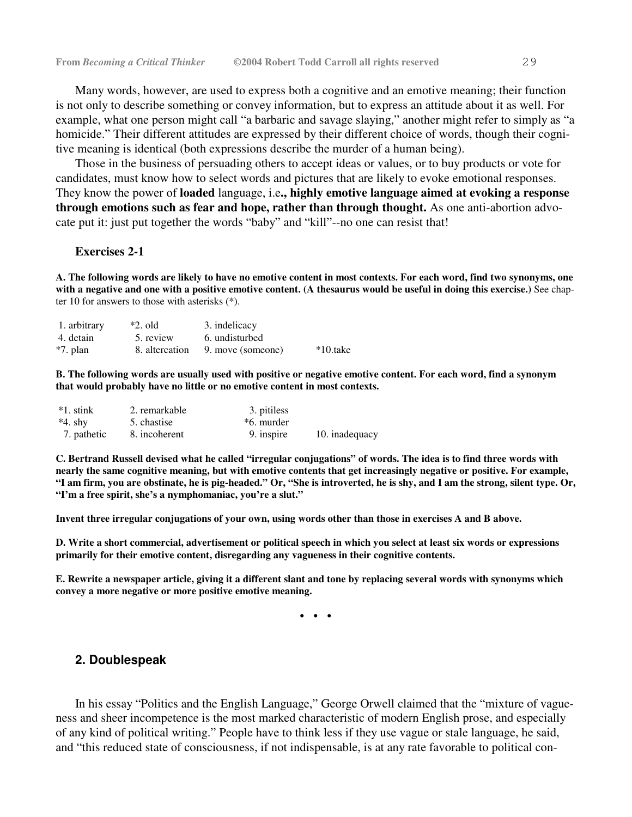Many words, however, are used to express both a cognitive and an emotive meaning; their function is not only to describe something or convey information, but to express an attitude about it as well. For example, what one person might call "a barbaric and savage slaying," another might refer to simply as "a homicide." Their different attitudes are expressed by their different choice of words, though their cognitive meaning is identical (both expressions describe the murder of a human being).

Those in the business of persuading others to accept ideas or values, or to buy products or vote for candidates, must know how to select words and pictures that are likely to evoke emotional responses. They know the power of **loaded** language, i.e**., highly emotive language aimed at evoking a response through emotions such as fear and hope, rather than through thought.** As one anti-abortion advocate put it: just put together the words "baby" and "kill"--no one can resist that!

## **Exercises 2-1**

A. The following words are likely to have no emotive content in most contexts. For each word, find two synonyms, one with a negative and one with a positive emotive content. (A thesaurus would be useful in doing this exercise.) See chapter 10 for answers to those with asterisks (\*).

| 1. arbitrary | $*2.$ old | 3. indelicacy                    |             |
|--------------|-----------|----------------------------------|-------------|
| 4. detain    | 5. review | 6. undisturbed                   |             |
| $*7.$ plan   |           | 8. altercation 9. move (someone) | $*10$ .take |

B. The following words are usually used with positive or negative emotive content. For each word, find a synonym **that would probably have no little or no emotive content in most contexts.**

| $*1.$ stink | 2. remarkable | 3. pitiless |                |
|-------------|---------------|-------------|----------------|
| $*4.$ shy   | 5. chastise   | *6. murder  |                |
| 7. pathetic | 8. incoherent | 9. inspire  | 10. inadequacy |

C. Bertrand Russell devised what he called "irregular conjugations" of words. The idea is to find three words with nearly the same cognitive meaning, but with emotive contents that get increasingly negative or positive. For example, "I am firm, you are obstinate, he is pig-headed." Or, "She is introverted, he is shy, and I am the strong, silent type. Or, **"I'm a free spirit, she's a nymphomaniac, you're a slut."**

Invent three irregular conjugations of your own, using words other than those in exercises A and B above.

D. Write a short commercial, advertisement or political speech in which you select at least six words or expressions **primarily for their emotive content, disregarding any vagueness in their cognitive contents.**

E. Rewrite a newspaper article, giving it a different slant and tone by replacing several words with synonyms which **convey a more negative or more positive emotive meaning.**

• • •

## **2. Doublespeak**

In his essay "Politics and the English Language," George Orwell claimed that the "mixture of vagueness and sheer incompetence is the most marked characteristic of modern English prose, and especially of any kind of political writing." People have to think less if they use vague or stale language, he said, and "this reduced state of consciousness, if not indispensable, is at any rate favorable to political con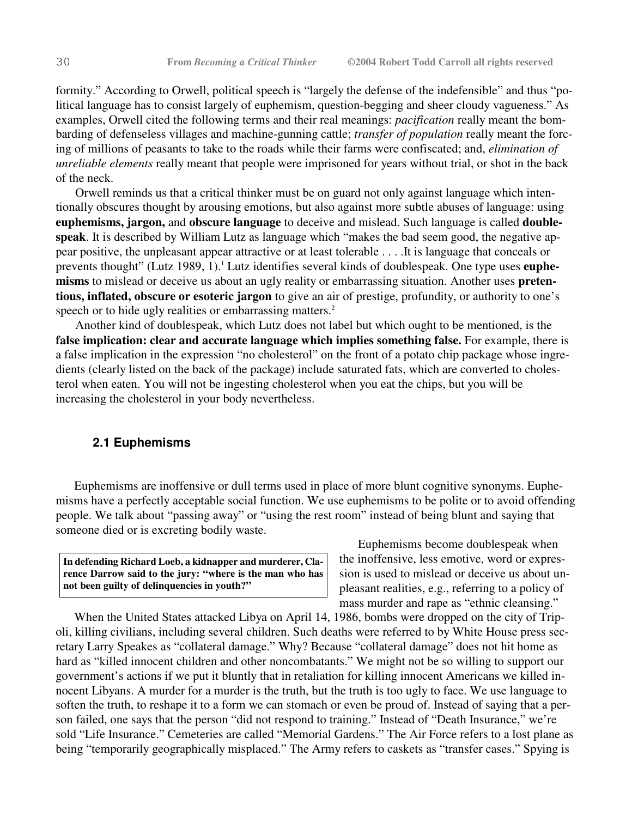formity." According to Orwell, political speech is "largely the defense of the indefensible" and thus "political language has to consist largely of euphemism, question-begging and sheer cloudy vagueness." As examples, Orwell cited the following terms and their real meanings: *pacification* really meant the bombarding of defenseless villages and machine-gunning cattle; *transfer of population* really meant the forcing of millions of peasants to take to the roads while their farms were confiscated; and, *elimination of unreliable elements* really meant that people were imprisoned for years without trial, or shot in the back of the neck.

Orwell reminds us that a critical thinker must be on guard not only against language which intentionally obscures thought by arousing emotions, but also against more subtle abuses of language: using **euphemisms, jargon,** and **obscure language** to deceive and mislead. Such language is called **doublespeak**. It is described by William Lutz as language which "makes the bad seem good, the negative appear positive, the unpleasant appear attractive or at least tolerable . . . .It is language that conceals or prevents thought" (Lutz 1989, 1). <sup>1</sup> Lutz identifies several kinds of doublespeak. One type uses **euphemisms** to mislead or deceive us about an ugly reality or embarrassing situation. Another uses **pretentious, inflated, obscure or esoteric jargon** to give an air of prestige, profundity, or authority to one's speech or to hide ugly realities or embarrassing matters.<sup>2</sup>

Another kind of doublespeak, which Lutz does not label but which ought to be mentioned, is the **false implication: clear and accurate language which implies something false.** For example, there is a false implication in the expression "no cholesterol" on the front of a potato chip package whose ingredients (clearly listed on the back of the package) include saturated fats, which are converted to cholesterol when eaten. You will not be ingesting cholesterol when you eat the chips, but you will be increasing the cholesterol in your body nevertheless.

## **2.1 Euphemisms**

Euphemisms are inoffensive or dull terms used in place of more blunt cognitive synonyms. Euphemisms have a perfectly acceptable social function. We use euphemisms to be polite or to avoid offending people. We talk about "passing away" or "using the rest room" instead of being blunt and saying that someone died or is excreting bodily waste.

**In defending Richard Loeb, a kidnapper and murderer, Clarence Darrow said to the jury: "where is the man who has not been guilty of delinquencies in youth?"**

Euphemisms become doublespeak when the inoffensive, less emotive, word or expression is used to mislead or deceive us about unpleasant realities, e.g., referring to a policy of mass murder and rape as "ethnic cleansing."

When the United States attacked Libya on April 14, 1986, bombs were dropped on the city of Tripoli, killing civilians, including several children. Such deaths were referred to by White House press secretary Larry Speakes as "collateral damage." Why? Because "collateral damage" does not hit home as hard as "killed innocent children and other noncombatants." We might not be so willing to support our government's actions if we put it bluntly that in retaliation for killing innocent Americans we killed innocent Libyans. A murder for a murder is the truth, but the truth is too ugly to face. We use language to soften the truth, to reshape it to a form we can stomach or even be proud of. Instead of saying that a person failed, one says that the person "did not respond to training." Instead of "Death Insurance," we're sold "Life Insurance." Cemeteries are called "Memorial Gardens." The Air Force refers to a lost plane as being "temporarily geographically misplaced." The Army refers to caskets as "transfer cases." Spying is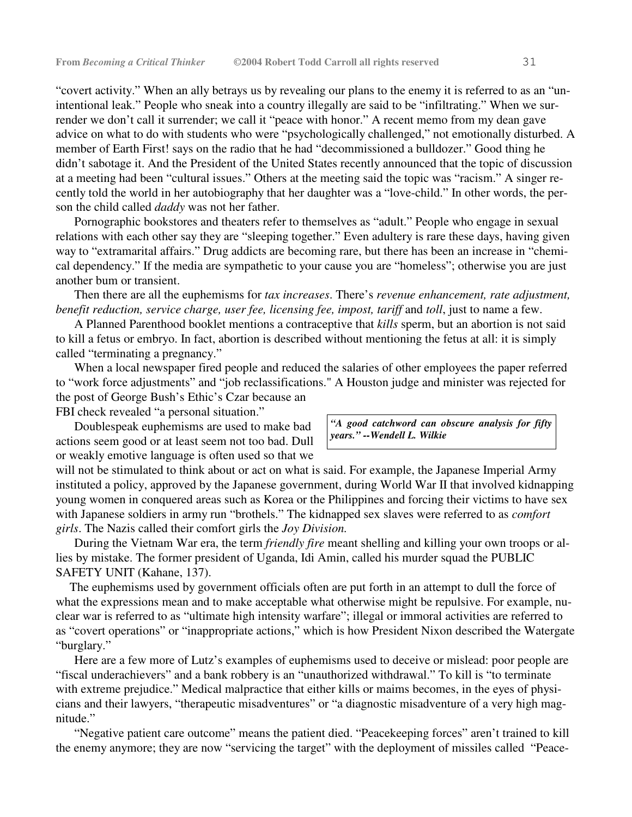"covert activity." When an ally betrays us by revealing our plans to the enemy it is referred to as an "unintentional leak." People who sneak into a country illegally are said to be "infiltrating." When we surrender we don't call it surrender; we call it "peace with honor." A recent memo from my dean gave advice on what to do with students who were "psychologically challenged," not emotionally disturbed. A member of Earth First! says on the radio that he had "decommissioned a bulldozer." Good thing he didn't sabotage it. And the President of the United States recently announced that the topic of discussion at a meeting had been "cultural issues." Others at the meeting said the topic was "racism." A singer recently told the world in her autobiography that her daughter was a "love-child." In other words, the person the child called *daddy* was not her father.

Pornographic bookstores and theaters refer to themselves as "adult." People who engage in sexual relations with each other say they are "sleeping together." Even adultery is rare these days, having given way to "extramarital affairs." Drug addicts are becoming rare, but there has been an increase in "chemical dependency." If the media are sympathetic to your cause you are "homeless"; otherwise you are just another bum or transient.

Then there are all the euphemisms for *tax increases*. There's *revenue enhancement, rate adjustment, benefit reduction, service charge, user fee, licensing fee, impost, tariff* and *toll*, just to name a few.

A Planned Parenthood booklet mentions a contraceptive that *kills* sperm, but an abortion is not said to kill a fetus or embryo. In fact, abortion is described without mentioning the fetus at all: it is simply called "terminating a pregnancy."

When a local newspaper fired people and reduced the salaries of other employees the paper referred to "work force adjustments" and "job reclassifications." A Houston judge and minister was rejected for the post of George Bush's Ethic's Czar because an FBI check revealed "a personal situation."

Doublespeak euphemisms are used to make bad actions seem good or at least seem not too bad. Dull or weakly emotive language is often used so that we

*"A good catchword can obscure analysis for fifty years." --Wendell L. Wilkie*

will not be stimulated to think about or act on what is said. For example, the Japanese Imperial Army instituted a policy, approved by the Japanese government, during World War II that involved kidnapping young women in conquered areas such as Korea or the Philippines and forcing their victims to have sex with Japanese soldiers in army run "brothels." The kidnapped sex slaves were referred to as *comfort girls*. The Nazis called their comfort girls the *Joy Division.*

During the Vietnam War era, the term *friendly fire* meant shelling and killing your own troops or allies by mistake. The former president of Uganda, Idi Amin, called his murder squad the PUBLIC SAFETY UNIT (Kahane, 137).

The euphemisms used by government officials often are put forth in an attempt to dull the force of what the expressions mean and to make acceptable what otherwise might be repulsive. For example, nuclear war is referred to as "ultimate high intensity warfare"; illegal or immoral activities are referred to as "covert operations" or "inappropriate actions," which is how President Nixon described the Watergate "burglary."

Here are a few more of Lutz's examples of euphemisms used to deceive or mislead: poor people are "fiscal underachievers" and a bank robbery is an "unauthorized withdrawal." To kill is "to terminate with extreme prejudice." Medical malpractice that either kills or maims becomes, in the eyes of physicians and their lawyers, "therapeutic misadventures" or "a diagnostic misadventure of a very high magnitude."

"Negative patient care outcome" means the patient died. "Peacekeeping forces" aren't trained to kill the enemy anymore; they are now "servicing the target" with the deployment of missiles called "Peace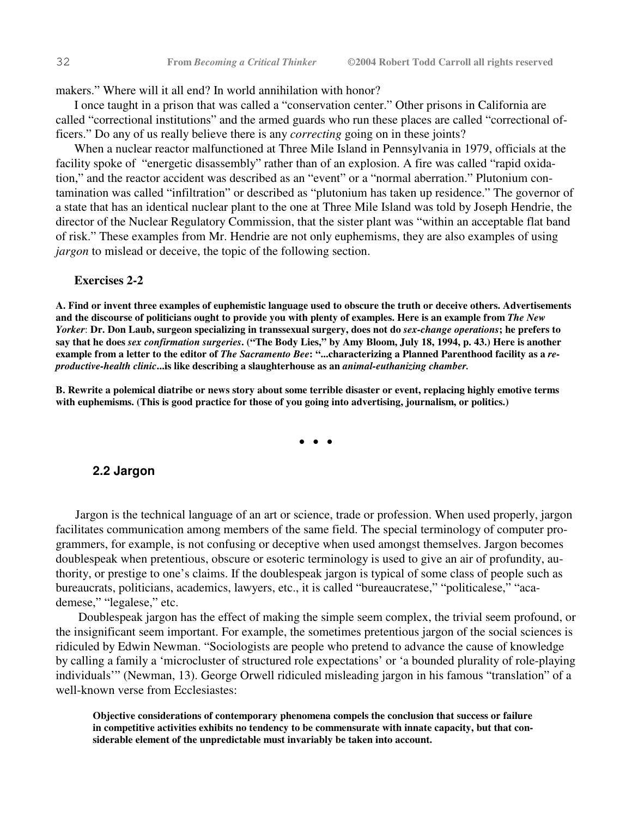makers." Where will it all end? In world annihilation with honor?

I once taught in a prison that was called a "conservation center." Other prisons in California are called "correctional institutions" and the armed guards who run these places are called "correctional officers." Do any of us really believe there is any *correcting* going on in these joints?

When a nuclear reactor malfunctioned at Three Mile Island in Pennsylvania in 1979, officials at the facility spoke of "energetic disassembly" rather than of an explosion. A fire was called "rapid oxidation," and the reactor accident was described as an "event" or a "normal aberration." Plutonium contamination was called "infiltration" or described as "plutonium has taken up residence." The governor of a state that has an identical nuclear plant to the one at Three Mile Island was told by Joseph Hendrie, the director of the Nuclear Regulatory Commission, that the sister plant was "within an acceptable flat band of risk." These examples from Mr. Hendrie are not only euphemisms, they are also examples of using *jargon* to mislead or deceive, the topic of the following section.

#### **Exercises 2-2**

A. Find or invent three examples of euphemistic language used to obscure the truth or deceive others. Advertisements and the discourse of politicians ought to provide you with plenty of examples. Here is an example from The New Yorker: Dr. Don Laub, surgeon specializing in transsexual surgery, does not do sex-change operations; he prefers to say that he does sex confirmation surgeries. ("The Body Lies," by Amy Bloom, July 18, 1994, p. 43.) Here is another example from a letter to the editor of The Sacramento Bee: "...characterizing a Planned Parenthood facility as a re*productive-health clinic***...is like describing a slaughterhouse as an** *animal-euthanizing chamber.*

B. Rewrite a polemical diatribe or news story about some terrible disaster or event, replacing highly emotive terms **with euphemisms. (This is good practice for those of you going into advertising, journalism, or politics.)**

• • •

## **2.2 Jargon**

Jargon is the technical language of an art or science, trade or profession. When used properly, jargon facilitates communication among members of the same field. The special terminology of computer programmers, for example, is not confusing or deceptive when used amongst themselves. Jargon becomes doublespeak when pretentious, obscure or esoteric terminology is used to give an air of profundity, authority, or prestige to one's claims. If the doublespeak jargon is typical of some class of people such as bureaucrats, politicians, academics, lawyers, etc., it is called "bureaucratese," "politicalese," "academese," "legalese," etc.

Doublespeak jargon has the effect of making the simple seem complex, the trivial seem profound, or the insignificant seem important. For example, the sometimes pretentious jargon of the social sciences is ridiculed by Edwin Newman. "Sociologists are people who pretend to advance the cause of knowledge by calling a family a 'microcluster of structured role expectations' or 'a bounded plurality of role-playing individuals'" (Newman, 13). George Orwell ridiculed misleading jargon in his famous "translation" of a well-known verse from Ecclesiastes:

**Objective considerations of contemporary phenomena compels the conclusion that success or failure in competitive activities exhibits no tendency to be commensurate with innate capacity, but that considerable element of the unpredictable must invariably be taken into account.**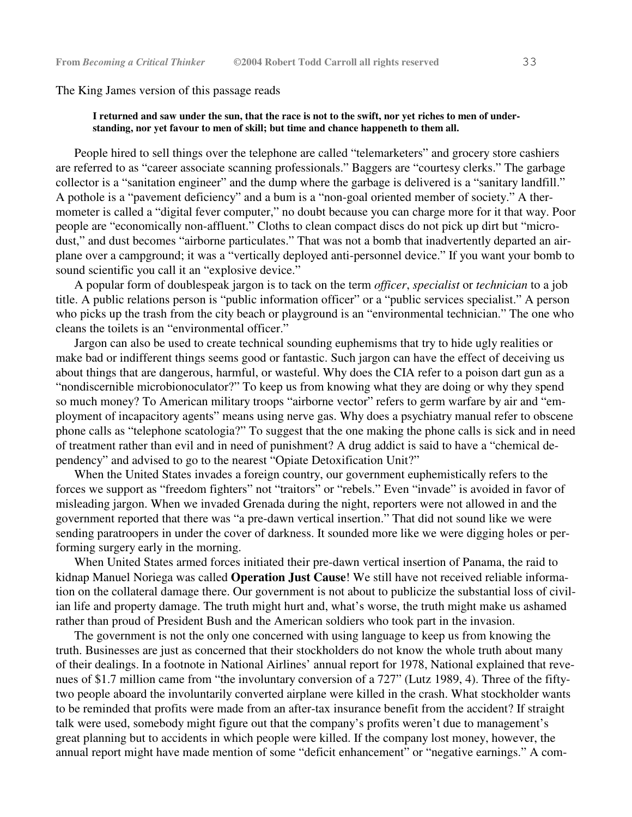#### The King James version of this passage reads

#### I returned and saw under the sun, that the race is not to the swift, nor yet riches to men of under**standing, nor yet favour to men of skill; but time and chance happeneth to them all.**

People hired to sell things over the telephone are called "telemarketers" and grocery store cashiers are referred to as "career associate scanning professionals." Baggers are "courtesy clerks." The garbage collector is a "sanitation engineer" and the dump where the garbage is delivered is a "sanitary landfill." A pothole is a "pavement deficiency" and a bum is a "non-goal oriented member of society." A thermometer is called a "digital fever computer," no doubt because you can charge more for it that way. Poor people are "economically non-affluent." Cloths to clean compact discs do not pick up dirt but "microdust," and dust becomes "airborne particulates." That was not a bomb that inadvertently departed an airplane over a campground; it was a "vertically deployed anti-personnel device." If you want your bomb to sound scientific you call it an "explosive device."

A popular form of doublespeak jargon is to tack on the term *officer*, *specialist* or *technician* to a job title. A public relations person is "public information officer" or a "public services specialist." A person who picks up the trash from the city beach or playground is an "environmental technician." The one who cleans the toilets is an "environmental officer."

Jargon can also be used to create technical sounding euphemisms that try to hide ugly realities or make bad or indifferent things seems good or fantastic. Such jargon can have the effect of deceiving us about things that are dangerous, harmful, or wasteful. Why does the CIA refer to a poison dart gun as a "nondiscernible microbionoculator?" To keep us from knowing what they are doing or why they spend so much money? To American military troops "airborne vector" refers to germ warfare by air and "employment of incapacitory agents" means using nerve gas. Why does a psychiatry manual refer to obscene phone calls as "telephone scatologia?" To suggest that the one making the phone calls is sick and in need of treatment rather than evil and in need of punishment? A drug addict is said to have a "chemical dependency" and advised to go to the nearest "Opiate Detoxification Unit?"

When the United States invades a foreign country, our government euphemistically refers to the forces we support as "freedom fighters" not "traitors" or "rebels." Even "invade" is avoided in favor of misleading jargon. When we invaded Grenada during the night, reporters were not allowed in and the government reported that there was "a pre-dawn vertical insertion." That did not sound like we were sending paratroopers in under the cover of darkness. It sounded more like we were digging holes or performing surgery early in the morning.

When United States armed forces initiated their pre-dawn vertical insertion of Panama, the raid to kidnap Manuel Noriega was called **Operation Just Cause**! We still have not received reliable information on the collateral damage there. Our government is not about to publicize the substantial loss of civilian life and property damage. The truth might hurt and, what's worse, the truth might make us ashamed rather than proud of President Bush and the American soldiers who took part in the invasion.

The government is not the only one concerned with using language to keep us from knowing the truth. Businesses are just as concerned that their stockholders do not know the whole truth about many of their dealings. In a footnote in National Airlines' annual report for 1978, National explained that revenues of \$1.7 million came from "the involuntary conversion of a 727" (Lutz 1989, 4). Three of the fiftytwo people aboard the involuntarily converted airplane were killed in the crash. What stockholder wants to be reminded that profits were made from an after-tax insurance benefit from the accident? If straight talk were used, somebody might figure out that the company's profits weren't due to management's great planning but to accidents in which people were killed. If the company lost money, however, the annual report might have made mention of some "deficit enhancement" or "negative earnings." A com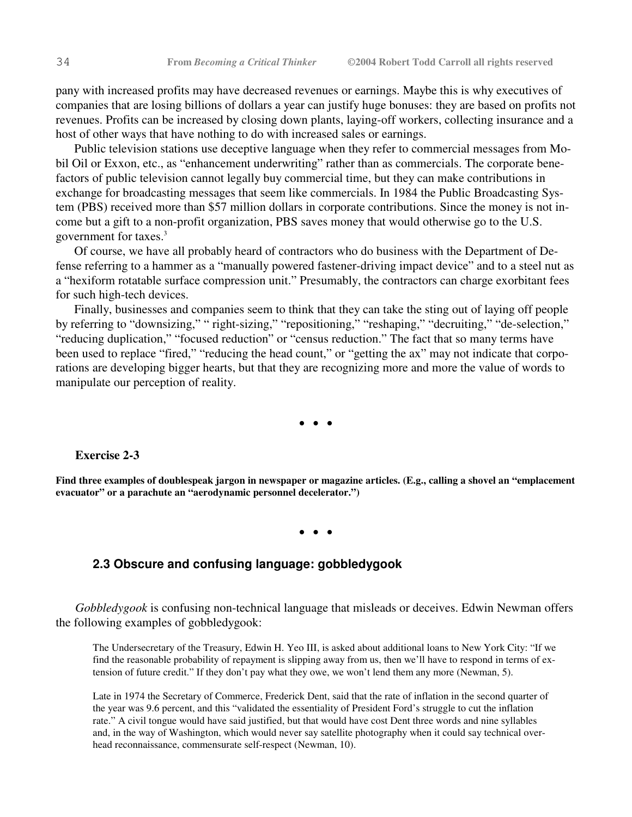pany with increased profits may have decreased revenues or earnings. Maybe this is why executives of companies that are losing billions of dollars a year can justify huge bonuses: they are based on profits not revenues. Profits can be increased by closing down plants, laying-off workers, collecting insurance and a host of other ways that have nothing to do with increased sales or earnings.

Public television stations use deceptive language when they refer to commercial messages from Mobil Oil or Exxon, etc., as "enhancement underwriting" rather than as commercials. The corporate benefactors of public television cannot legally buy commercial time, but they can make contributions in exchange for broadcasting messages that seem like commercials. In 1984 the Public Broadcasting System (PBS) received more than \$57 million dollars in corporate contributions. Since the money is not income but a gift to a non-profit organization, PBS saves money that would otherwise go to the U.S. government for taxes. 3

Of course, we have all probably heard of contractors who do business with the Department of Defense referring to a hammer as a "manually powered fastener-driving impact device" and to a steel nut as a "hexiform rotatable surface compression unit." Presumably, the contractors can charge exorbitant fees for such high-tech devices.

Finally, businesses and companies seem to think that they can take the sting out of laying off people by referring to "downsizing," " right-sizing," "repositioning," "reshaping," "decruiting," "de-selection," "reducing duplication," "focused reduction" or "census reduction." The fact that so many terms have been used to replace "fired," "reducing the head count," or "getting the ax" may not indicate that corporations are developing bigger hearts, but that they are recognizing more and more the value of words to manipulate our perception of reality.

• • •

#### **Exercise 2-3**

Find three examples of doublespeak jargon in newspaper or magazine articles. (E.g., calling a shovel an "emplacement **evacuator" or a parachute an "aerodynamic personnel decelerator.")**

• • •

## **2.3 Obscure and confusing language: gobbledygook**

*Gobbledygook* is confusing non-technical language that misleads or deceives. Edwin Newman offers the following examples of gobbledygook:

The Undersecretary of the Treasury, Edwin H. Yeo III, is asked about additional loans to New York City: "If we find the reasonable probability of repayment is slipping away from us, then we'll have to respond in terms of extension of future credit." If they don't pay what they owe, we won't lend them any more (Newman, 5).

Late in 1974 the Secretary of Commerce, Frederick Dent, said that the rate of inflation in the second quarter of the year was 9.6 percent, and this "validated the essentiality of President Ford's struggle to cut the inflation rate." A civil tongue would have said justified, but that would have cost Dent three words and nine syllables and, in the way of Washington, which would never say satellite photography when it could say technical overhead reconnaissance, commensurate self-respect (Newman, 10).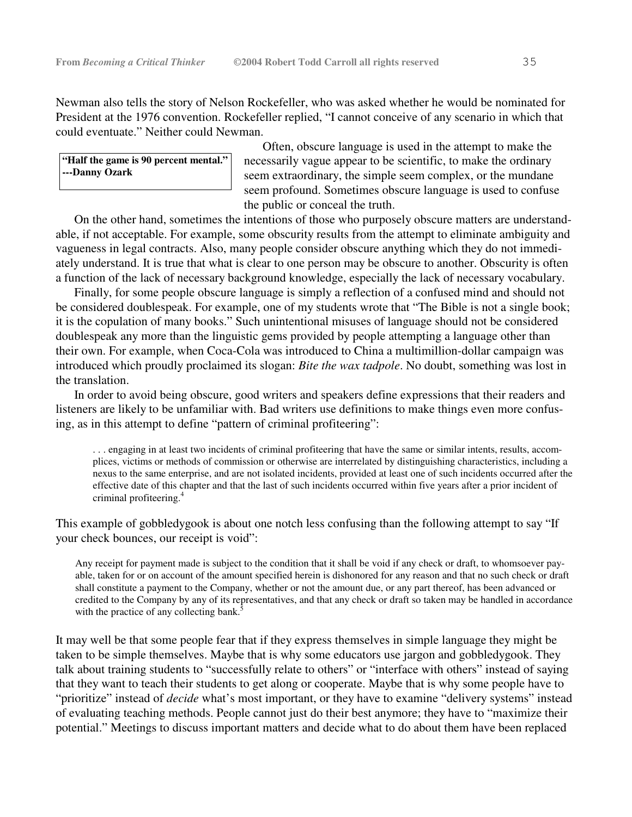Newman also tells the story of Nelson Rockefeller, who was asked whether he would be nominated for President at the 1976 convention. Rockefeller replied, "I cannot conceive of any scenario in which that could eventuate." Neither could Newman.

**"Half the game is 90 percent mental." ---Danny Ozark**

Often, obscure language is used in the attempt to make the necessarily vague appear to be scientific, to make the ordinary seem extraordinary, the simple seem complex, or the mundane seem profound. Sometimes obscure language is used to confuse the public or conceal the truth.

On the other hand, sometimes the intentions of those who purposely obscure matters are understandable, if not acceptable. For example, some obscurity results from the attempt to eliminate ambiguity and vagueness in legal contracts. Also, many people consider obscure anything which they do not immediately understand. It is true that what is clear to one person may be obscure to another. Obscurity is often a function of the lack of necessary background knowledge, especially the lack of necessary vocabulary.

Finally, for some people obscure language is simply a reflection of a confused mind and should not be considered doublespeak. For example, one of my students wrote that "The Bible is not a single book; it is the copulation of many books." Such unintentional misuses of language should not be considered doublespeak any more than the linguistic gems provided by people attempting a language other than their own. For example, when Coca-Cola was introduced to China a multimillion-dollar campaign was introduced which proudly proclaimed its slogan: *Bite the wax tadpole*. No doubt, something was lost in the translation.

In order to avoid being obscure, good writers and speakers define expressions that their readers and listeners are likely to be unfamiliar with. Bad writers use definitions to make things even more confusing, as in this attempt to define "pattern of criminal profiteering":

. . . engaging in at least two incidents of criminal profiteering that have the same or similar intents, results, accomplices, victims or methods of commission or otherwise are interrelated by distinguishing characteristics, including a nexus to the same enterprise, and are not isolated incidents, provided at least one of such incidents occurred after the effective date of this chapter and that the last of such incidents occurred within five years after a prior incident of criminal profiteering. 4

This example of gobbledygook is about one notch less confusing than the following attempt to say "If your check bounces, our receipt is void":

Any receipt for payment made is subject to the condition that it shall be void if any check or draft, to whomsoever payable, taken for or on account of the amount specified herein is dishonored for any reason and that no such check or draft shall constitute a payment to the Company, whether or not the amount due, or any part thereof, has been advanced or credited to the Company by any of its representatives, and that any check or draft so taken may be handled in accordance with the practice of any collecting bank.<sup>5</sup>

It may well be that some people fear that if they express themselves in simple language they might be taken to be simple themselves. Maybe that is why some educators use jargon and gobbledygook. They talk about training students to "successfully relate to others" or "interface with others" instead of saying that they want to teach their students to get along or cooperate. Maybe that is why some people have to "prioritize" instead of *decide* what's most important, or they have to examine "delivery systems" instead of evaluating teaching methods. People cannot just do their best anymore; they have to "maximize their potential." Meetings to discuss important matters and decide what to do about them have been replaced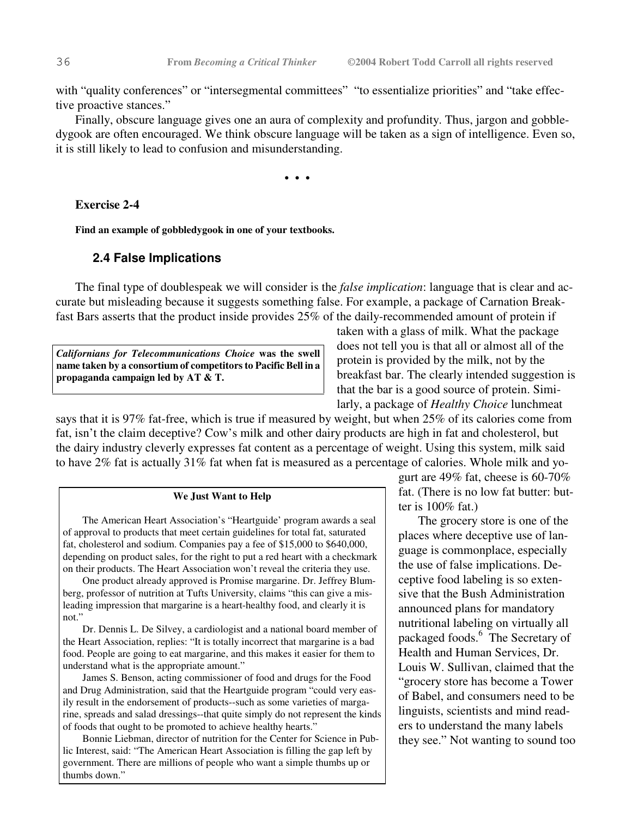with "quality conferences" or "intersegmental committees" "to essentialize priorities" and "take effective proactive stances."

Finally, obscure language gives one an aura of complexity and profundity. Thus, jargon and gobbledygook are often encouraged. We think obscure language will be taken as a sign of intelligence. Even so, it is still likely to lead to confusion and misunderstanding.

• • •

**Exercise 2-4**

**Find an example of gobbledygook in one of your textbooks.**

## **2.4 False Implications**

The final type of doublespeak we will consider is the *false implication*: language that is clear and accurate but misleading because it suggests something false. For example, a package of Carnation Breakfast Bars asserts that the product inside provides 25% of the daily-recommended amount of protein if

*Californians for Telecommunications Choice* **was the swell name taken by a consortium of competitorsto Pacific Bell in a propaganda campaign led by AT & T.**

taken with a glass of milk. What the package does not tell you is that all or almost all of the protein is provided by the milk, not by the breakfast bar. The clearly intended suggestion is that the bar is a good source of protein. Similarly, a package of *Healthy Choice* lunchmeat

says that it is 97% fat-free, which is true if measured by weight, but when 25% of its calories come from fat, isn't the claim deceptive? Cow's milk and other dairy products are high in fat and cholesterol, but the dairy industry cleverly expresses fat content as a percentage of weight. Using this system, milk said to have 2% fat is actually 31% fat when fat is measured as a percentage of calories. Whole milk and yo-

#### **We Just Want to Help**

The American Heart Association's "Heartguide' program awards a seal of approval to products that meet certain guidelines for total fat, saturated fat, cholesterol and sodium. Companies pay a fee of \$15,000 to \$640,000, depending on product sales, for the right to put a red heart with a checkmark on their products. The Heart Association won't reveal the criteria they use.

One product already approved is Promise margarine. Dr. Jeffrey Blumberg, professor of nutrition at Tufts University, claims "this can give a misleading impression that margarine is a heart-healthy food, and clearly it is not."

Dr. Dennis L. De Silvey, a cardiologist and a national board member of the Heart Association, replies: "It is totally incorrect that margarine is a bad food. People are going to eat margarine, and this makes it easier for them to understand what is the appropriate amount."

James S. Benson, acting commissioner of food and drugs for the Food and Drug Administration, said that the Heartguide program "could very easily result in the endorsement of products--such as some varieties of margarine, spreads and salad dressings--that quite simply do not represent the kinds of foods that ought to be promoted to achieve healthy hearts."

Bonnie Liebman, director of nutrition for the Center for Science in Public Interest, said: "The American Heart Association is filling the gap left by government. There are millions of people who want a simple thumbs up or thumbs down."

gurt are 49% fat, cheese is 60-70% fat. (There is no low fat butter: butter is 100% fat.)

The grocery store is one of the places where deceptive use of language is commonplace, especially the use of false implications. Deceptive food labeling is so extensive that the Bush Administration announced plans for mandatory nutritional labeling on virtually all packaged foods. 6 The Secretary of Health and Human Services, Dr. Louis W. Sullivan, claimed that the "grocery store has become a Tower of Babel, and consumers need to be linguists, scientists and mind readers to understand the many labels they see." Not wanting to sound too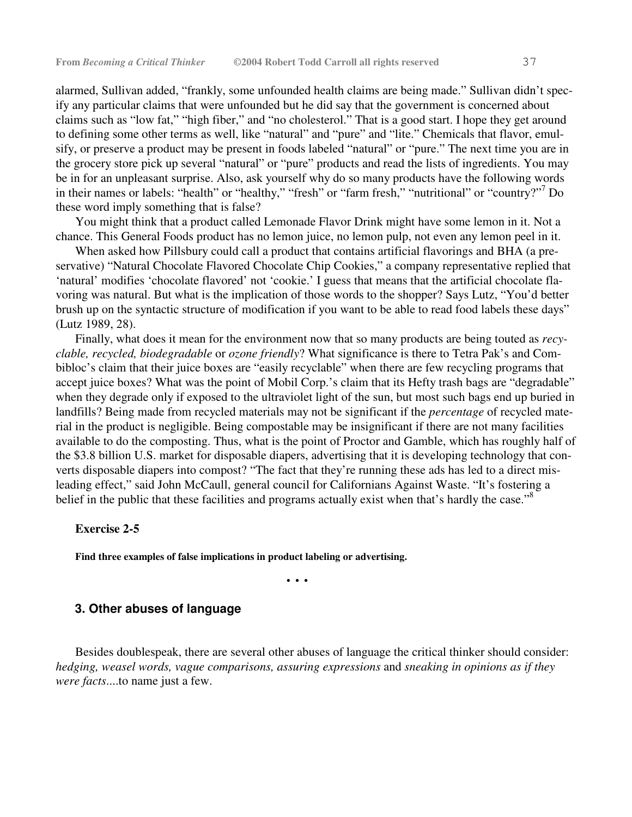alarmed, Sullivan added, "frankly, some unfounded health claims are being made." Sullivan didn't specify any particular claims that were unfounded but he did say that the government is concerned about claims such as "low fat," "high fiber," and "no cholesterol." That is a good start. I hope they get around to defining some other terms as well, like "natural" and "pure" and "lite." Chemicals that flavor, emulsify, or preserve a product may be present in foods labeled "natural" or "pure." The next time you are in the grocery store pick up several "natural" or "pure" products and read the lists of ingredients. You may be in for an unpleasant surprise. Also, ask yourself why do so many products have the following words in their names or labels: "health" or "healthy," "fresh" or "farm fresh," "nutritional" or "country?" <sup>7</sup> Do these word imply something that is false?

You might think that a product called Lemonade Flavor Drink might have some lemon in it. Not a chance. This General Foods product has no lemon juice, no lemon pulp, not even any lemon peel in it.

When asked how Pillsbury could call a product that contains artificial flavorings and BHA (a preservative) "Natural Chocolate Flavored Chocolate Chip Cookies," a company representative replied that 'natural' modifies 'chocolate flavored' not 'cookie.' I guess that means that the artificial chocolate flavoring was natural. But what is the implication of those words to the shopper? Says Lutz, "You'd better brush up on the syntactic structure of modification if you want to be able to read food labels these days" (Lutz 1989, 28).

Finally, what does it mean for the environment now that so many products are being touted as *recyclable, recycled, biodegradable* or *ozone friendly*? What significance is there to Tetra Pak's and Combibloc's claim that their juice boxes are "easily recyclable" when there are few recycling programs that accept juice boxes? What was the point of Mobil Corp.'s claim that its Hefty trash bags are "degradable" when they degrade only if exposed to the ultraviolet light of the sun, but most such bags end up buried in landfills? Being made from recycled materials may not be significant if the *percentage* of recycled material in the product is negligible. Being compostable may be insignificant if there are not many facilities available to do the composting. Thus, what is the point of Proctor and Gamble, which has roughly half of the \$3.8 billion U.S. market for disposable diapers, advertising that it is developing technology that converts disposable diapers into compost? "The fact that they're running these ads has led to a direct misleading effect," said John McCaull, general council for Californians Against Waste. "It's fostering a belief in the public that these facilities and programs actually exist when that's hardly the case."<sup>8</sup>

## **Exercise 2-5**

**Find three examples of false implications in product labeling or advertising.**

**• • •**

## **3. Other abuses of language**

Besides doublespeak, there are several other abuses of language the critical thinker should consider: *hedging, weasel words, vague comparisons, assuring expressions* and *sneaking in opinions as if they were facts*....to name just a few.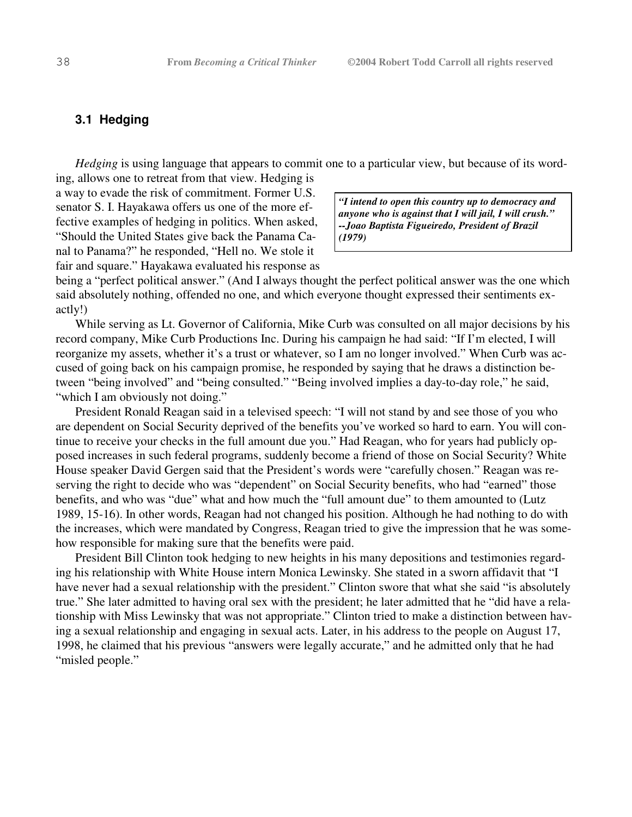# **3.1 Hedging**

*Hedging* is using language that appears to commit one to a particular view, but because of its word-

ing, allows one to retreat from that view. Hedging is a way to evade the risk of commitment. Former U.S. senator S. I. Hayakawa offers us one of the more effective examples of hedging in politics. When asked, "Should the United States give back the Panama Canal to Panama?" he responded, "Hell no. We stole it fair and square." Hayakawa evaluated his response as

*"I intend to open this country up to democracy and anyone who is against that I will jail, I will crush." --Joao Baptista Figueiredo, President of Brazil (1979)*

being a "perfect political answer." (And I always thought the perfect political answer was the one which said absolutely nothing, offended no one, and which everyone thought expressed their sentiments exactly!)

While serving as Lt. Governor of California, Mike Curb was consulted on all major decisions by his record company, Mike Curb Productions Inc. During his campaign he had said: "If I'm elected, I will reorganize my assets, whether it's a trust or whatever, so I am no longer involved." When Curb was accused of going back on his campaign promise, he responded by saying that he draws a distinction between "being involved" and "being consulted." "Being involved implies a day-to-day role," he said, "which I am obviously not doing."

President Ronald Reagan said in a televised speech: "I will not stand by and see those of you who are dependent on Social Security deprived of the benefits you've worked so hard to earn. You will continue to receive your checks in the full amount due you." Had Reagan, who for years had publicly opposed increases in such federal programs, suddenly become a friend of those on Social Security? White House speaker David Gergen said that the President's words were "carefully chosen." Reagan was reserving the right to decide who was "dependent" on Social Security benefits, who had "earned" those benefits, and who was "due" what and how much the "full amount due" to them amounted to (Lutz 1989, 15-16). In other words, Reagan had not changed his position. Although he had nothing to do with the increases, which were mandated by Congress, Reagan tried to give the impression that he was somehow responsible for making sure that the benefits were paid.

President Bill Clinton took hedging to new heights in his many depositions and testimonies regarding his relationship with White House intern Monica Lewinsky. She stated in a sworn affidavit that "I have never had a sexual relationship with the president." Clinton swore that what she said "is absolutely true." She later admitted to having oral sex with the president; he later admitted that he "did have a relationship with Miss Lewinsky that was not appropriate." Clinton tried to make a distinction between having a sexual relationship and engaging in sexual acts. Later, in his address to the people on August 17, 1998, he claimed that his previous "answers were legally accurate," and he admitted only that he had "misled people."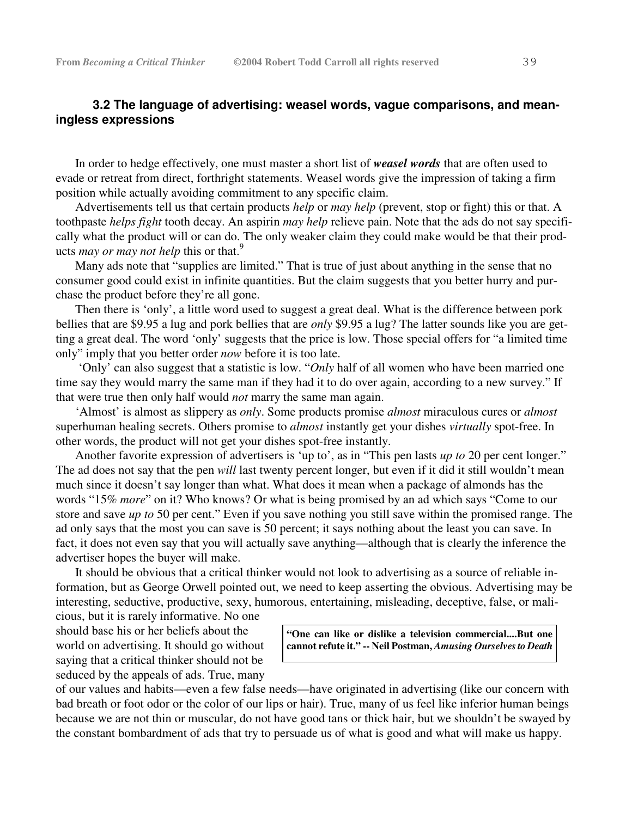# **3.2 The language of advertising: weasel words, vague comparisons, and meaningless expressions**

In order to hedge effectively, one must master a short list of *weasel words* that are often used to evade or retreat from direct, forthright statements. Weasel words give the impression of taking a firm position while actually avoiding commitment to any specific claim.

Advertisements tell us that certain products *help* or *may help* (prevent, stop or fight) this or that. A toothpaste *helps fight* tooth decay. An aspirin *may help* relieve pain. Note that the ads do not say specifically what the product will or can do. The only weaker claim they could make would be that their products *may or may not help* this or that. 9

Many ads note that "supplies are limited." That is true of just about anything in the sense that no consumer good could exist in infinite quantities. But the claim suggests that you better hurry and purchase the product before they're all gone.

Then there is 'only', a little word used to suggest a great deal. What is the difference between pork bellies that are \$9.95 a lug and pork bellies that are *only* \$9.95 a lug? The latter sounds like you are getting a great deal. The word 'only' suggests that the price is low. Those special offers for "a limited time only" imply that you better order *now* before it is too late.

'Only' can also suggest that a statistic is low. "*Only* half of all women who have been married one time say they would marry the same man if they had it to do over again, according to a new survey." If that were true then only half would *not* marry the same man again.

'Almost' is almost as slippery as *only*. Some products promise *almost* miraculous cures or *almost* superhuman healing secrets. Others promise to *almost* instantly get your dishes *virtually* spot-free. In other words, the product will not get your dishes spot-free instantly.

Another favorite expression of advertisers is 'up to', as in "This pen lasts *up to* 20 per cent longer." The ad does not say that the pen *will* last twenty percent longer, but even if it did it still wouldn't mean much since it doesn't say longer than what. What does it mean when a package of almonds has the words "15% *more*" on it? Who knows? Or what is being promised by an ad which says "Come to our store and save *up to* 50 per cent." Even if you save nothing you still save within the promised range. The ad only says that the most you can save is 50 percent; it says nothing about the least you can save. In fact, it does not even say that you will actually save anything—although that is clearly the inference the advertiser hopes the buyer will make.

It should be obvious that a critical thinker would not look to advertising as a source of reliable information, but as George Orwell pointed out, we need to keep asserting the obvious. Advertising may be interesting, seductive, productive, sexy, humorous, entertaining, misleading, deceptive, false, or mali-

cious, but it is rarely informative. No one should base his or her beliefs about the world on advertising. It should go without saying that a critical thinker should not be seduced by the appeals of ads. True, many

**"One can like or dislike a television commercial....But one cannot refute it." -- Neil Postman,** *Amusing Ourselvesto Death*

of our values and habits—even a few false needs—have originated in advertising (like our concern with bad breath or foot odor or the color of our lips or hair). True, many of us feel like inferior human beings because we are not thin or muscular, do not have good tans or thick hair, but we shouldn't be swayed by the constant bombardment of ads that try to persuade us of what is good and what will make us happy.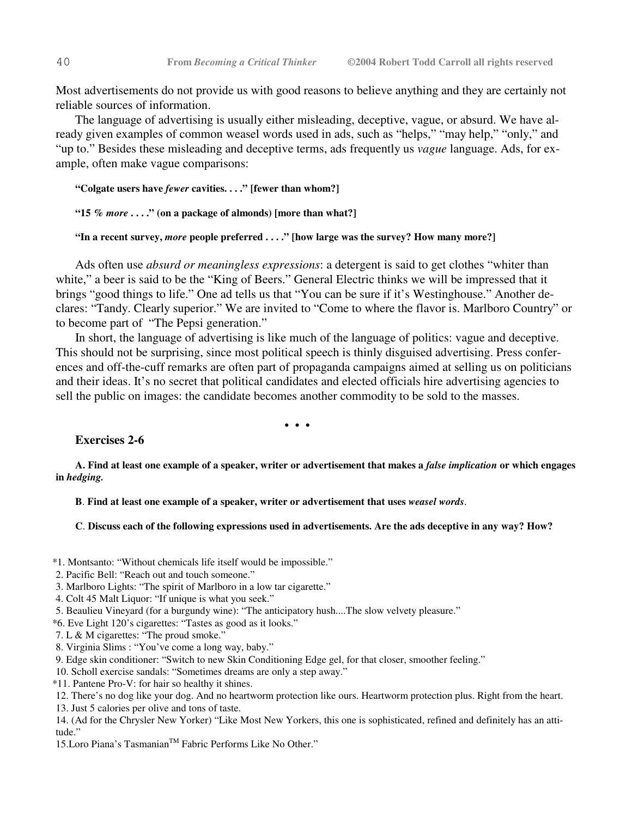Most advertisements do not provide us with good reasons to believe anything and they are certainly not reliable sources of information.

The language of advertising is usually either misleading, deceptive, vague, or absurd. We have already given examples of common weasel words used in ads, such as "helps," "may help," "only," and "up to." Besides these misleading and deceptive terms, ads frequently us *vague* language. Ads, for example, often make vague comparisons:

**"Colgate users have** *fewer* **cavities. . . ." [fewer than whom?]**

```
"15 % more . . . ." (on a package of almonds) [more than what?]
```
"In a recent survey, more people preferred . . . ." [how large was the survey? How many more?]

Ads often use *absurd or meaningless expressions*: a detergent is said to get clothes "whiter than white," a beer is said to be the "King of Beers." General Electric thinks we will be impressed that it brings "good things to life." One ad tells us that "You can be sure if it's Westinghouse." Another declares: "Tandy. Clearly superior." We are invited to "Come to where the flavor is. Marlboro Country" or to become part of "The Pepsi generation."

In short, the language of advertising is like much of the language of politics: vague and deceptive. This should not be surprising, since most political speech is thinly disguised advertising. Press conferences and off-the-cuff remarks are often part of propaganda campaigns aimed at selling us on politicians and their ideas. It's no secret that political candidates and elected officials hire advertising agencies to sell the public on images: the candidate becomes another commodity to be sold to the masses.

• • •

#### **Exercises 2-6**

A. Find at least one example of a speaker, writer or advertisement that makes a *false implication* or which engages **in** *hedging.*

**B**. **Find at least one example of a speaker, writer or advertisement that uses** *weasel words*.

C. Discuss each of the following expressions used in advertisements. Are the ads deceptive in any way? How?

- \*1. Montsanto: "Without chemicals life itself would be impossible."
- 2. Pacific Bell: "Reach out and touch someone."
- 3. Marlboro Lights: "The spirit of Marlboro in a low tar cigarette."
- 4. Colt 45 Malt Liquor: "If unique is what you seek."
- 5. Beaulieu Vineyard (for a burgundy wine): "The anticipatory hush....The slow velvety pleasure."
- \*6. Eve Light 120's cigarettes: "Tastes as good as it looks."
- 7. L & M cigarettes: "The proud smoke."
- 8. Virginia Slims : "You've come a long way, baby."
- 9. Edge skin conditioner: "Switch to new Skin Conditioning Edge gel, for that closer, smoother feeling."
- 10. Scholl exercise sandals: "Sometimes dreams are only a step away."
- \*11. Pantene Pro-V: for hair so healthy it shines.
- 12. There's no dog like your dog. And no heartworm protection like ours. Heartworm protection plus. Right from the heart.
- 13. Just 5 calories per olive and tons of taste.
- 14. (Ad for the Chrysler New Yorker) "Like Most New Yorkers, this one is sophisticated, refined and definitely has an attitude."
- 15. Loro Piana's Tasmanian<sup>™</sup> Fabric Performs Like No Other."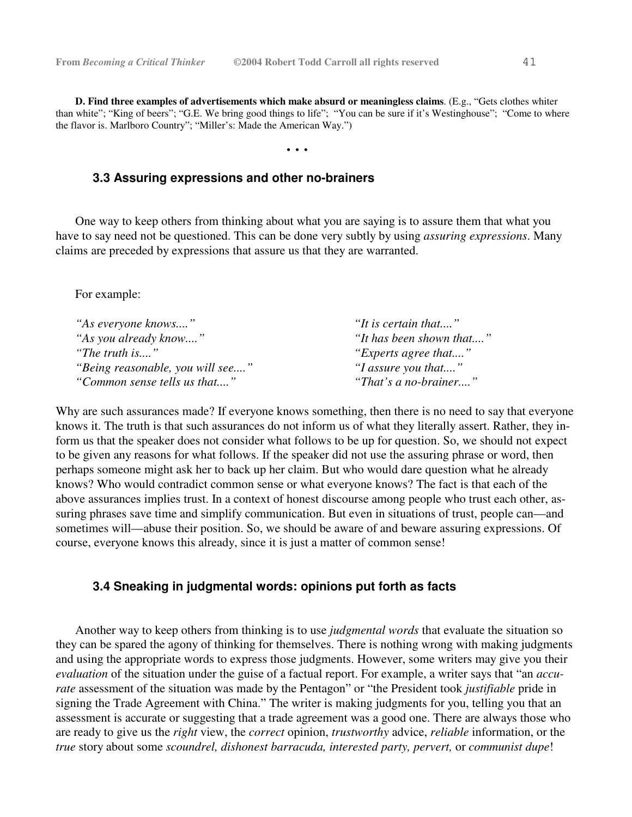**D. Find three examples of advertisements which make absurd or meaningless claims**. (E.g., "Gets clothes whiter than white"; "King of beers"; "G.E. We bring good things to life"; "You can be sure if it's Westinghouse"; "Come to where the flavor is. Marlboro Country"; "Miller's: Made the American Way.")

• • •

## **3.3 Assuring expressions and other no-brainers**

One way to keep others from thinking about what you are saying is to assure them that what you have to say need not be questioned. This can be done very subtly by using *assuring expressions*. Many claims are preceded by expressions that assure us that they are warranted.

For example:

| "As everyone knows"              | "It is certain that"     |
|----------------------------------|--------------------------|
| "As you already know"            | "It has been shown that" |
| "The truth is"                   | "Experts agree that"     |
| "Being reasonable, you will see" | "I assure you that"      |
| "Common sense tells us that"     | "That's a no-brainer"    |

Why are such assurances made? If everyone knows something, then there is no need to say that everyone knows it. The truth is that such assurances do not inform us of what they literally assert. Rather, they inform us that the speaker does not consider what follows to be up for question. So, we should not expect to be given any reasons for what follows. If the speaker did not use the assuring phrase or word, then perhaps someone might ask her to back up her claim. But who would dare question what he already knows? Who would contradict common sense or what everyone knows? The fact is that each of the above assurances implies trust. In a context of honest discourse among people who trust each other, assuring phrases save time and simplify communication. But even in situations of trust, people can—and sometimes will—abuse their position. So, we should be aware of and beware assuring expressions. Of course, everyone knows this already, since it is just a matter of common sense!

## **3.4 Sneaking in judgmental words: opinions put forth as facts**

Another way to keep others from thinking is to use *judgmental words* that evaluate the situation so they can be spared the agony of thinking for themselves. There is nothing wrong with making judgments and using the appropriate words to express those judgments. However, some writers may give you their *evaluation* of the situation under the guise of a factual report. For example, a writer says that "an *accurate* assessment of the situation was made by the Pentagon" or "the President took *justifiable* pride in signing the Trade Agreement with China." The writer is making judgments for you, telling you that an assessment is accurate or suggesting that a trade agreement was a good one. There are always those who are ready to give us the *right* view, the *correct* opinion, *trustworthy* advice, *reliable* information, or the *true* story about some *scoundrel, dishonest barracuda, interested party, pervert,* or *communist dupe*!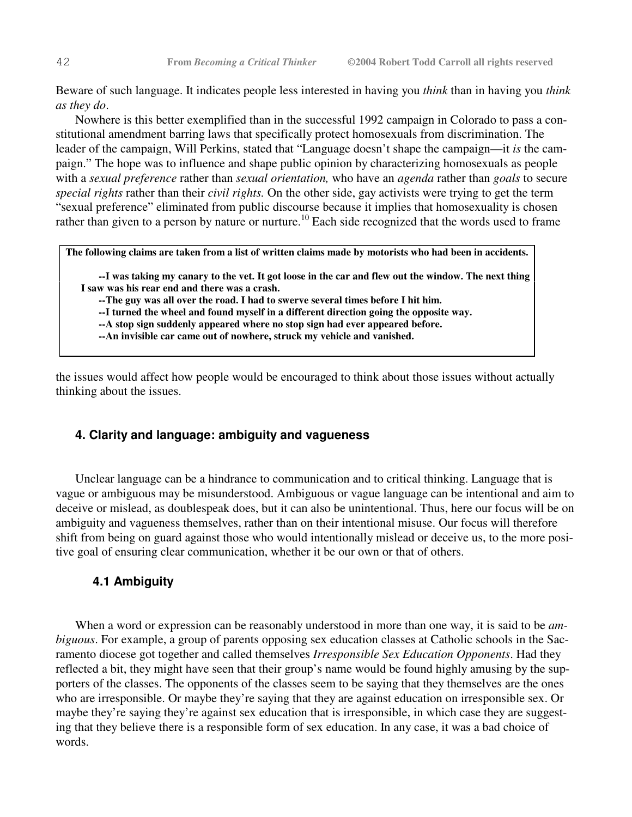Beware of such language. It indicates people less interested in having you *think* than in having you *think as they do*.

Nowhere is this better exemplified than in the successful 1992 campaign in Colorado to pass a constitutional amendment barring laws that specifically protect homosexuals from discrimination. The leader of the campaign, Will Perkins, stated that "Language doesn't shape the campaign—it *is* the campaign." The hope was to influence and shape public opinion by characterizing homosexuals as people with a *sexual preference* rather than *sexual orientation,* who have an *agenda* rather than *goals* to secure *special rights* rather than their *civil rights.* On the other side, gay activists were trying to get the term "sexual preference" eliminated from public discourse because it implies that homosexuality is chosen rather than given to a person by nature or nurture.<sup>10</sup> Each side recognized that the words used to frame

The following claims are taken from a list of written claims made by motorists who had been in accidents.

--I was taking my canary to the vet. It got loose in the car and flew out the window. The next thing **I saw was his rear end and there was a crash.**

**--The guy was all over the road. I had to swerve several times before I hit him.**

**--I turned the wheel and found myself in a different direction going the opposite way.**

**--A stop sign suddenly appeared where no stop sign had ever appeared before.**

**--An invisible car came out of nowhere, struck my vehicle and vanished.**

the issues would affect how people would be encouraged to think about those issues without actually thinking about the issues.

## **4. Clarity and language: ambiguity and vagueness**

Unclear language can be a hindrance to communication and to critical thinking. Language that is vague or ambiguous may be misunderstood. Ambiguous or vague language can be intentional and aim to deceive or mislead, as doublespeak does, but it can also be unintentional. Thus, here our focus will be on ambiguity and vagueness themselves, rather than on their intentional misuse. Our focus will therefore shift from being on guard against those who would intentionally mislead or deceive us, to the more positive goal of ensuring clear communication, whether it be our own or that of others.

# **4.1 Ambiguity**

When a word or expression can be reasonably understood in more than one way, it is said to be *ambiguous*. For example, a group of parents opposing sex education classes at Catholic schools in the Sacramento diocese got together and called themselves *Irresponsible Sex Education Opponents*. Had they reflected a bit, they might have seen that their group's name would be found highly amusing by the supporters of the classes. The opponents of the classes seem to be saying that they themselves are the ones who are irresponsible. Or maybe they're saying that they are against education on irresponsible sex. Or maybe they're saying they're against sex education that is irresponsible, in which case they are suggesting that they believe there is a responsible form of sex education. In any case, it was a bad choice of words.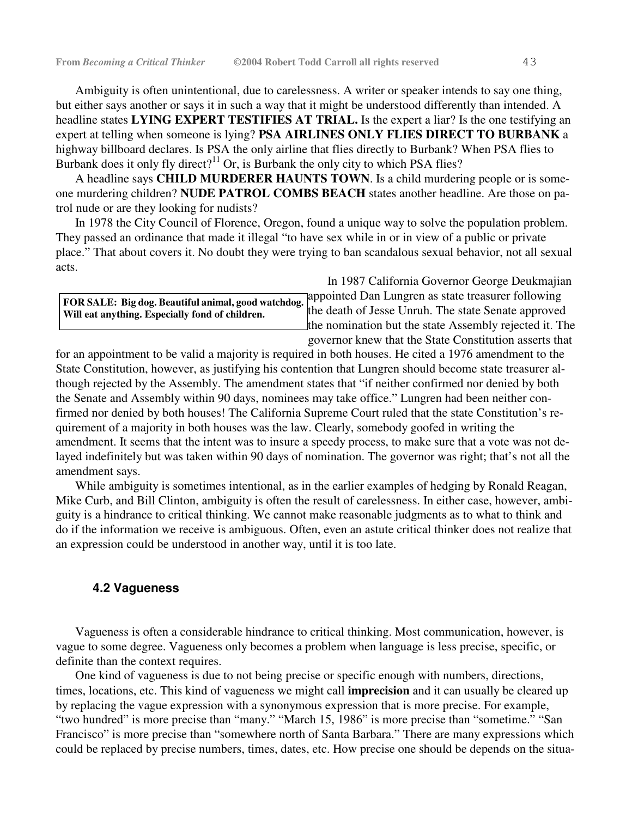Ambiguity is often unintentional, due to carelessness. A writer or speaker intends to say one thing, but either says another or says it in such a way that it might be understood differently than intended. A headline states **LYING EXPERT TESTIFIES AT TRIAL.** Is the expert a liar? Is the one testifying an expert at telling when someone is lying? **PSA AIRLINES ONLY FLIES DIRECT TO BURBANK** a highway billboard declares. Is PSA the only airline that flies directly to Burbank? When PSA flies to Burbank does it only fly direct?<sup>11</sup> Or, is Burbank the only city to which PSA flies?

A headline says **CHILD MURDERER HAUNTS TOWN**. Is a child murdering people or is someone murdering children? **NUDE PATROL COMBS BEACH** states another headline. Are those on patrol nude or are they looking for nudists?

In 1978 the City Council of Florence, Oregon, found a unique way to solve the population problem. They passed an ordinance that made it illegal "to have sex while in or in view of a public or private place." That about covers it. No doubt they were trying to ban scandalous sexual behavior, not all sexual acts.

| FOR SALE: Big dog. Beautiful animal, good watchdog.<br>Will eat anything. Especially fond of children. |
|--------------------------------------------------------------------------------------------------------|
|                                                                                                        |

In 1987 California Governor George Deukmajian appointed Dan Lungren as state treasurer following the death of Jesse Unruh. The state Senate approved the nomination but the state Assembly rejected it. The governor knew that the State Constitution asserts that

for an appointment to be valid a majority is required in both houses. He cited a 1976 amendment to the State Constitution, however, as justifying his contention that Lungren should become state treasurer although rejected by the Assembly. The amendment states that "if neither confirmed nor denied by both the Senate and Assembly within 90 days, nominees may take office." Lungren had been neither confirmed nor denied by both houses! The California Supreme Court ruled that the state Constitution's requirement of a majority in both houses was the law. Clearly, somebody goofed in writing the amendment. It seems that the intent was to insure a speedy process, to make sure that a vote was not delayed indefinitely but was taken within 90 days of nomination. The governor was right; that's not all the amendment says.

While ambiguity is sometimes intentional, as in the earlier examples of hedging by Ronald Reagan, Mike Curb, and Bill Clinton, ambiguity is often the result of carelessness. In either case, however, ambiguity is a hindrance to critical thinking. We cannot make reasonable judgments as to what to think and do if the information we receive is ambiguous. Often, even an astute critical thinker does not realize that an expression could be understood in another way, until it is too late.

## **4.2 Vagueness**

Vagueness is often a considerable hindrance to critical thinking. Most communication, however, is vague to some degree. Vagueness only becomes a problem when language is less precise, specific, or definite than the context requires.

One kind of vagueness is due to not being precise or specific enough with numbers, directions, times, locations, etc. This kind of vagueness we might call **imprecision** and it can usually be cleared up by replacing the vague expression with a synonymous expression that is more precise. For example, "two hundred" is more precise than "many." "March 15, 1986" is more precise than "sometime." "San Francisco" is more precise than "somewhere north of Santa Barbara." There are many expressions which could be replaced by precise numbers, times, dates, etc. How precise one should be depends on the situa-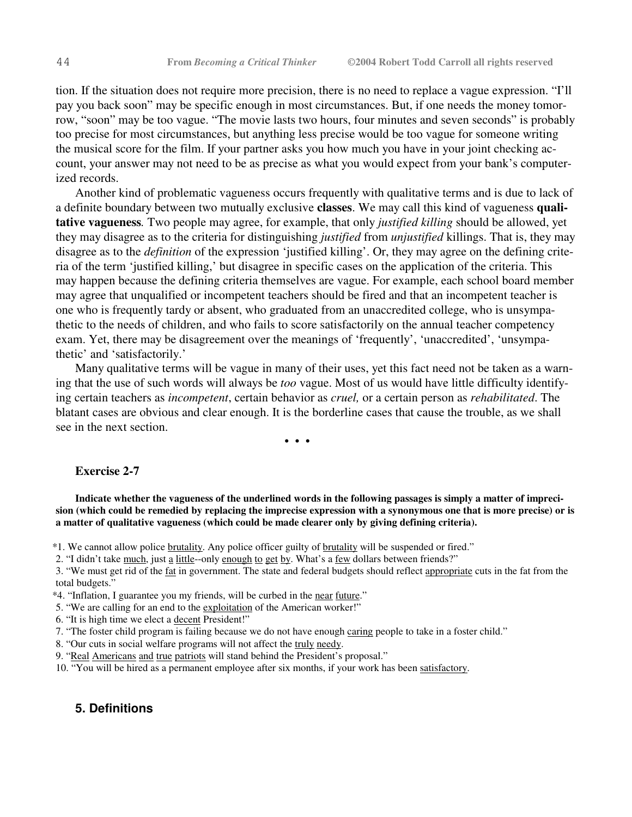tion. If the situation does not require more precision, there is no need to replace a vague expression. "I'll pay you back soon" may be specific enough in most circumstances. But, if one needs the money tomorrow, "soon" may be too vague. "The movie lasts two hours, four minutes and seven seconds" is probably too precise for most circumstances, but anything less precise would be too vague for someone writing the musical score for the film. If your partner asks you how much you have in your joint checking account, your answer may not need to be as precise as what you would expect from your bank's computerized records.

Another kind of problematic vagueness occurs frequently with qualitative terms and is due to lack of a definite boundary between two mutually exclusive **classes**. We may call this kind of vagueness **qualitative vagueness***.* Two people may agree, for example, that only *justified killing* should be allowed, yet they may disagree as to the criteria for distinguishing *justified* from *unjustified* killings. That is, they may disagree as to the *definition* of the expression 'justified killing'. Or, they may agree on the defining criteria of the term 'justified killing,' but disagree in specific cases on the application of the criteria. This may happen because the defining criteria themselves are vague. For example, each school board member may agree that unqualified or incompetent teachers should be fired and that an incompetent teacher is one who is frequently tardy or absent, who graduated from an unaccredited college, who is unsympathetic to the needs of children, and who fails to score satisfactorily on the annual teacher competency exam. Yet, there may be disagreement over the meanings of 'frequently', 'unaccredited', 'unsympathetic' and 'satisfactorily.'

Many qualitative terms will be vague in many of their uses, yet this fact need not be taken as a warning that the use of such words will always be *too* vague. Most of us would have little difficulty identifying certain teachers as *incompetent*, certain behavior as *cruel,* or a certain person as *rehabilitated*. The blatant cases are obvious and clear enough. It is the borderline cases that cause the trouble, as we shall see in the next section.

• • •

#### **Exercise 2-7**

Indicate whether the vagueness of the underlined words in the following passages is simply a matter of imprecision (which could be remedied by replacing the imprecise expression with a synonymous one that is more precise) or is **a matter of qualitative vagueness (which could be made clearer only by giving defining criteria).**

\*1. We cannot allow police brutality. Any police officer guilty of brutality will be suspended or fired."

2. "I didn't take much, just a little--only enough to get by. What's a few dollars between friends?"

3. "We must get rid of the fat in government. The state and federal budgets should reflect appropriate cuts in the fat from the total budgets."

- \*4. "Inflation, I guarantee you my friends, will be curbed in the near future."
- 5. "We are calling for an end to the exploitation of the American worker!"
- 6. "It is high time we elect a decent President!"
- 7. "The foster child program is failing because we do not have enough caring people to take in a foster child."
- 8. "Our cuts in social welfare programs will not affect the truly needy.
- 9. "Real Americans and true patriots will stand behind the President's proposal."
- 10. "You will be hired as a permanent employee after six months, if your work has been satisfactory.

## **5. Definitions**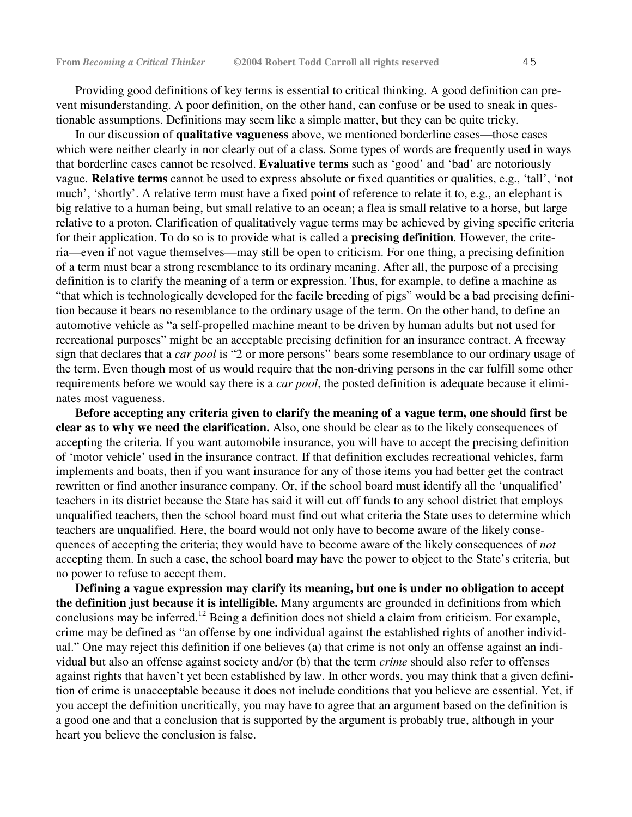Providing good definitions of key terms is essential to critical thinking. A good definition can prevent misunderstanding. A poor definition, on the other hand, can confuse or be used to sneak in questionable assumptions. Definitions may seem like a simple matter, but they can be quite tricky.

In our discussion of **qualitative vagueness** above, we mentioned borderline cases—those cases which were neither clearly in nor clearly out of a class. Some types of words are frequently used in ways that borderline cases cannot be resolved. **Evaluative terms** such as 'good' and 'bad' are notoriously vague. **Relative terms** cannot be used to express absolute or fixed quantities or qualities, e.g., 'tall', 'not much', 'shortly'. A relative term must have a fixed point of reference to relate it to, e.g., an elephant is big relative to a human being, but small relative to an ocean; a flea is small relative to a horse, but large relative to a proton. Clarification of qualitatively vague terms may be achieved by giving specific criteria for their application. To do so is to provide what is called a **precising definition***.* However, the criteria—even if not vague themselves—may still be open to criticism. For one thing, a precising definition of a term must bear a strong resemblance to its ordinary meaning. After all, the purpose of a precising definition is to clarify the meaning of a term or expression. Thus, for example, to define a machine as "that which is technologically developed for the facile breeding of pigs" would be a bad precising definition because it bears no resemblance to the ordinary usage of the term. On the other hand, to define an automotive vehicle as "a self-propelled machine meant to be driven by human adults but not used for recreational purposes" might be an acceptable precising definition for an insurance contract. A freeway sign that declares that a *car pool* is "2 or more persons" bears some resemblance to our ordinary usage of the term. Even though most of us would require that the non-driving persons in the car fulfill some other requirements before we would say there is a *car pool*, the posted definition is adequate because it eliminates most vagueness.

**Before accepting any criteria given to clarify the meaning of a vague term, one should first be clear as to why we need the clarification.** Also, one should be clear as to the likely consequences of accepting the criteria. If you want automobile insurance, you will have to accept the precising definition of 'motor vehicle' used in the insurance contract. If that definition excludes recreational vehicles, farm implements and boats, then if you want insurance for any of those items you had better get the contract rewritten or find another insurance company. Or, if the school board must identify all the 'unqualified' teachers in its district because the State has said it will cut off funds to any school district that employs unqualified teachers, then the school board must find out what criteria the State uses to determine which teachers are unqualified. Here, the board would not only have to become aware of the likely consequences of accepting the criteria; they would have to become aware of the likely consequences of *not* accepting them. In such a case, the school board may have the power to object to the State's criteria, but no power to refuse to accept them.

**Defining a vague expression may clarify its meaning, but one is under no obligation to accept the definition just because it is intelligible.** Many arguments are grounded in definitions from which conclusions may be inferred.<sup>12</sup> Being a definition does not shield a claim from criticism. For example, crime may be defined as "an offense by one individual against the established rights of another individual." One may reject this definition if one believes (a) that crime is not only an offense against an individual but also an offense against society and/or (b) that the term *crime* should also refer to offenses against rights that haven't yet been established by law. In other words, you may think that a given definition of crime is unacceptable because it does not include conditions that you believe are essential. Yet, if you accept the definition uncritically, you may have to agree that an argument based on the definition is a good one and that a conclusion that is supported by the argument is probably true, although in your heart you believe the conclusion is false.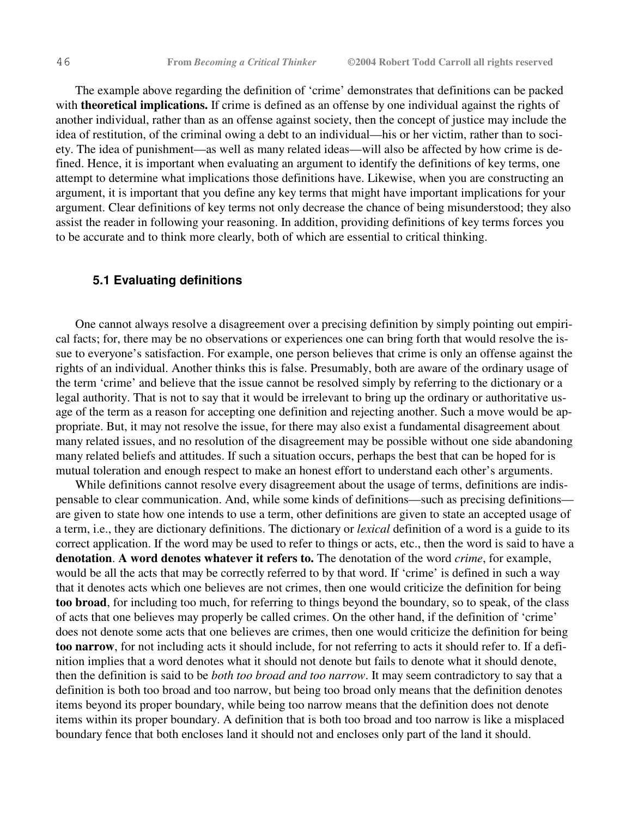The example above regarding the definition of 'crime' demonstrates that definitions can be packed with **theoretical implications.** If crime is defined as an offense by one individual against the rights of another individual, rather than as an offense against society, then the concept of justice may include the idea of restitution, of the criminal owing a debt to an individual—his or her victim, rather than to society. The idea of punishment—as well as many related ideas—will also be affected by how crime is defined. Hence, it is important when evaluating an argument to identify the definitions of key terms, one attempt to determine what implications those definitions have. Likewise, when you are constructing an argument, it is important that you define any key terms that might have important implications for your argument. Clear definitions of key terms not only decrease the chance of being misunderstood; they also assist the reader in following your reasoning. In addition, providing definitions of key terms forces you to be accurate and to think more clearly, both of which are essential to critical thinking.

## **5.1 Evaluating definitions**

One cannot always resolve a disagreement over a precising definition by simply pointing out empirical facts; for, there may be no observations or experiences one can bring forth that would resolve the issue to everyone's satisfaction. For example, one person believes that crime is only an offense against the rights of an individual. Another thinks this is false. Presumably, both are aware of the ordinary usage of the term 'crime' and believe that the issue cannot be resolved simply by referring to the dictionary or a legal authority. That is not to say that it would be irrelevant to bring up the ordinary or authoritative usage of the term as a reason for accepting one definition and rejecting another. Such a move would be appropriate. But, it may not resolve the issue, for there may also exist a fundamental disagreement about many related issues, and no resolution of the disagreement may be possible without one side abandoning many related beliefs and attitudes. If such a situation occurs, perhaps the best that can be hoped for is mutual toleration and enough respect to make an honest effort to understand each other's arguments.

While definitions cannot resolve every disagreement about the usage of terms, definitions are indispensable to clear communication. And, while some kinds of definitions—such as precising definitions are given to state how one intends to use a term, other definitions are given to state an accepted usage of a term, i.e., they are dictionary definitions. The dictionary or *lexical* definition of a word is a guide to its correct application. If the word may be used to refer to things or acts, etc., then the word is said to have a **denotation**. **A word denotes whatever it refers to.** The denotation of the word *crime*, for example, would be all the acts that may be correctly referred to by that word. If 'crime' is defined in such a way that it denotes acts which one believes are not crimes, then one would criticize the definition for being **too broad**, for including too much, for referring to things beyond the boundary, so to speak, of the class of acts that one believes may properly be called crimes. On the other hand, if the definition of 'crime' does not denote some acts that one believes are crimes, then one would criticize the definition for being **too narrow**, for not including acts it should include, for not referring to acts it should refer to. If a definition implies that a word denotes what it should not denote but fails to denote what it should denote, then the definition is said to be *both too broad and too narrow*. It may seem contradictory to say that a definition is both too broad and too narrow, but being too broad only means that the definition denotes items beyond its proper boundary, while being too narrow means that the definition does not denote items within its proper boundary. A definition that is both too broad and too narrow is like a misplaced boundary fence that both encloses land it should not and encloses only part of the land it should.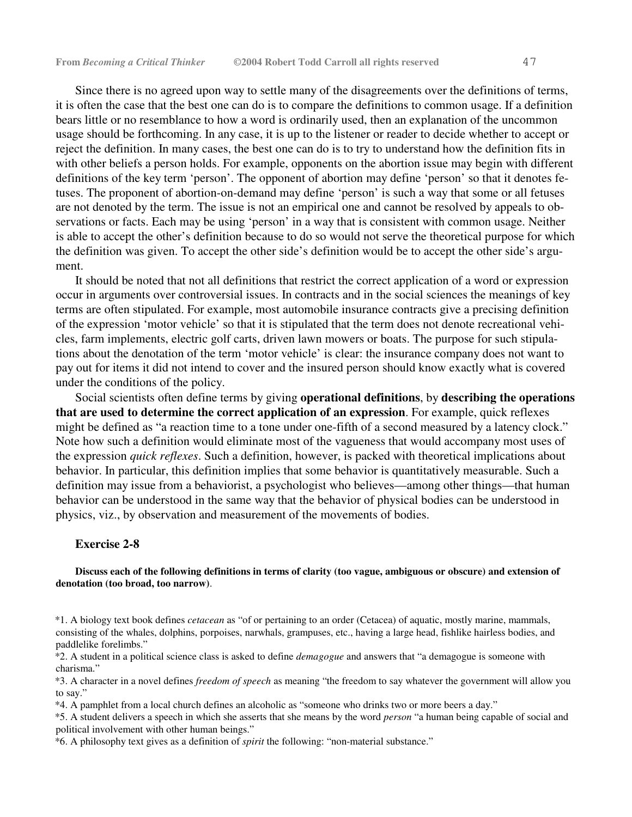Since there is no agreed upon way to settle many of the disagreements over the definitions of terms, it is often the case that the best one can do is to compare the definitions to common usage. If a definition bears little or no resemblance to how a word is ordinarily used, then an explanation of the uncommon usage should be forthcoming. In any case, it is up to the listener or reader to decide whether to accept or reject the definition. In many cases, the best one can do is to try to understand how the definition fits in with other beliefs a person holds. For example, opponents on the abortion issue may begin with different definitions of the key term 'person'. The opponent of abortion may define 'person' so that it denotes fetuses. The proponent of abortion-on-demand may define 'person' is such a way that some or all fetuses are not denoted by the term. The issue is not an empirical one and cannot be resolved by appeals to observations or facts. Each may be using 'person' in a way that is consistent with common usage. Neither is able to accept the other's definition because to do so would not serve the theoretical purpose for which the definition was given. To accept the other side's definition would be to accept the other side's argument.

It should be noted that not all definitions that restrict the correct application of a word or expression occur in arguments over controversial issues. In contracts and in the social sciences the meanings of key terms are often stipulated. For example, most automobile insurance contracts give a precising definition of the expression 'motor vehicle' so that it is stipulated that the term does not denote recreational vehicles, farm implements, electric golf carts, driven lawn mowers or boats. The purpose for such stipulations about the denotation of the term 'motor vehicle' is clear: the insurance company does not want to pay out for items it did not intend to cover and the insured person should know exactly what is covered under the conditions of the policy.

Social scientists often define terms by giving **operational definitions**, by **describing the operations that are used to determine the correct application of an expression**. For example, quick reflexes might be defined as "a reaction time to a tone under one-fifth of a second measured by a latency clock." Note how such a definition would eliminate most of the vagueness that would accompany most uses of the expression *quick reflexes*. Such a definition, however, is packed with theoretical implications about behavior. In particular, this definition implies that some behavior is quantitatively measurable. Such a definition may issue from a behaviorist, a psychologist who believes—among other things—that human behavior can be understood in the same way that the behavior of physical bodies can be understood in physics, viz., by observation and measurement of the movements of bodies.

## **Exercise 2-8**

#### Discuss each of the following definitions in terms of clarity (too vague, ambiguous or obscure) and extension of **denotation (too broad, too narrow)**.

\*1. A biology text book defines *cetacean* as "of or pertaining to an order (Cetacea) of aquatic, mostly marine, mammals, consisting of the whales, dolphins, porpoises, narwhals, grampuses, etc., having a large head, fishlike hairless bodies, and paddlelike forelimbs."

\*2. A student in a political science class is asked to define *demagogue* and answers that "a demagogue is someone with charisma."

\*3. A character in a novel defines *freedom of speech* as meaning "the freedom to say whatever the government will allow you to say."

\*4. A pamphlet from a local church defines an alcoholic as "someone who drinks two or more beers a day."

\*5. A student delivers a speech in which she asserts that she means by the word *person* "a human being capable of social and political involvement with other human beings."

\*6. A philosophy text gives as a definition of *spirit* the following: "non-material substance."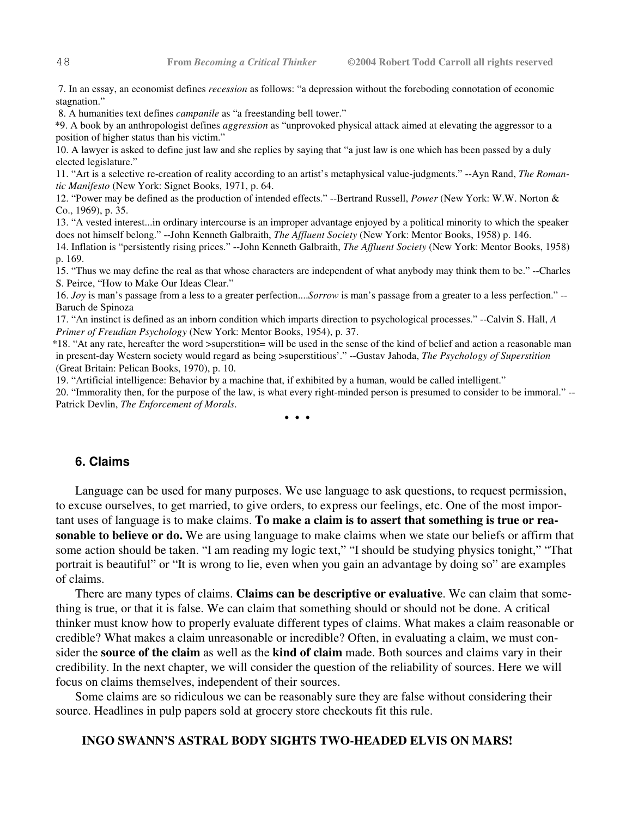7. In an essay, an economist defines *recession* as follows: "a depression without the foreboding connotation of economic stagnation."

8. A humanities text defines *campanile* as "a freestanding bell tower."

\*9. A book by an anthropologist defines *aggression* as "unprovoked physical attack aimed at elevating the aggressor to a position of higher status than his victim."

10. A lawyer is asked to define just law and she replies by saying that "a just law is one which has been passed by a duly elected legislature."

11. "Art is a selective re-creation of reality according to an artist's metaphysical value-judgments." --Ayn Rand, *The Romantic Manifesto* (New York: Signet Books, 1971, p. 64.

12. "Power may be defined as the production of intended effects." --Bertrand Russell, *Power* (New York: W.W. Norton & Co., 1969), p. 35.

13. "A vested interest...in ordinary intercourse is an improper advantage enjoyed by a political minority to which the speaker does not himself belong." --John Kenneth Galbraith, *The Affluent Society* (New York: Mentor Books, 1958) p. 146.

14. Inflation is "persistently rising prices." --John Kenneth Galbraith, *The Affluent Society* (New York: Mentor Books, 1958) p. 169.

15. "Thus we may define the real as that whose characters are independent of what anybody may think them to be." --Charles S. Peirce, "How to Make Our Ideas Clear."

16. *Joy* is man's passage from a less to a greater perfection....*Sorrow* is man's passage from a greater to a less perfection." -- Baruch de Spinoza

17. "An instinct is defined as an inborn condition which imparts direction to psychological processes." --Calvin S. Hall, *A Primer of Freudian Psychology* (New York: Mentor Books, 1954), p. 37.

\*18. "At any rate, hereafter the word >superstition= will be used in the sense of the kind of belief and action a reasonable man in present-day Western society would regard as being >superstitious'." --Gustav Jahoda, *The Psychology of Superstition* (Great Britain: Pelican Books, 1970), p. 10.

19. "Artificial intelligence: Behavior by a machine that, if exhibited by a human, would be called intelligent."

20. "Immorality then, for the purpose of the law, is what every right-minded person is presumed to consider to be immoral." -- Patrick Devlin, *The Enforcement of Morals*.

• • •

## **6. Claims**

Language can be used for many purposes. We use language to ask questions, to request permission, to excuse ourselves, to get married, to give orders, to express our feelings, etc. One of the most important uses of language is to make claims. **To make a claim is to assert that something is true or reasonable to believe or do.** We are using language to make claims when we state our beliefs or affirm that some action should be taken. "I am reading my logic text," "I should be studying physics tonight," "That portrait is beautiful" or "It is wrong to lie, even when you gain an advantage by doing so" are examples of claims.

There are many types of claims. **Claims can be descriptive or evaluative**. We can claim that something is true, or that it is false. We can claim that something should or should not be done. A critical thinker must know how to properly evaluate different types of claims. What makes a claim reasonable or credible? What makes a claim unreasonable or incredible? Often, in evaluating a claim, we must consider the **source of the claim** as well as the **kind of claim** made. Both sources and claims vary in their credibility. In the next chapter, we will consider the question of the reliability of sources. Here we will focus on claims themselves, independent of their sources.

Some claims are so ridiculous we can be reasonably sure they are false without considering their source. Headlines in pulp papers sold at grocery store checkouts fit this rule.

# **INGO SWANN'S ASTRAL BODY SIGHTS TWO-HEADED ELVIS ON MARS!**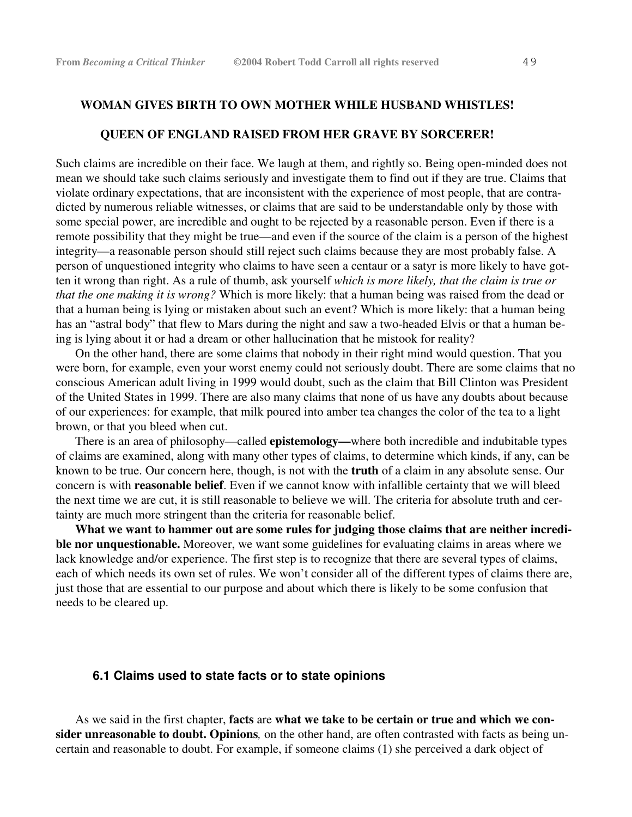### **WOMAN GIVES BIRTH TO OWN MOTHER WHILE HUSBAND WHISTLES!**

#### **QUEEN OF ENGLAND RAISED FROM HER GRAVE BY SORCERER!**

Such claims are incredible on their face. We laugh at them, and rightly so. Being open-minded does not mean we should take such claims seriously and investigate them to find out if they are true. Claims that violate ordinary expectations, that are inconsistent with the experience of most people, that are contradicted by numerous reliable witnesses, or claims that are said to be understandable only by those with some special power, are incredible and ought to be rejected by a reasonable person. Even if there is a remote possibility that they might be true—and even if the source of the claim is a person of the highest integrity—a reasonable person should still reject such claims because they are most probably false. A person of unquestioned integrity who claims to have seen a centaur or a satyr is more likely to have gotten it wrong than right. As a rule of thumb, ask yourself *which is more likely, that the claim is true or that the one making it is wrong?* Which is more likely: that a human being was raised from the dead or that a human being is lying or mistaken about such an event? Which is more likely: that a human being has an "astral body" that flew to Mars during the night and saw a two-headed Elvis or that a human being is lying about it or had a dream or other hallucination that he mistook for reality?

On the other hand, there are some claims that nobody in their right mind would question. That you were born, for example, even your worst enemy could not seriously doubt. There are some claims that no conscious American adult living in 1999 would doubt, such as the claim that Bill Clinton was President of the United States in 1999. There are also many claims that none of us have any doubts about because of our experiences: for example, that milk poured into amber tea changes the color of the tea to a light brown, or that you bleed when cut.

There is an area of philosophy—called **epistemology—**where both incredible and indubitable types of claims are examined, along with many other types of claims, to determine which kinds, if any, can be known to be true. Our concern here, though, is not with the **truth** of a claim in any absolute sense. Our concern is with **reasonable belief**. Even if we cannot know with infallible certainty that we will bleed the next time we are cut, it is still reasonable to believe we will. The criteria for absolute truth and certainty are much more stringent than the criteria for reasonable belief.

**What we want to hammer out are some rules for judging those claims that are neither incredible nor unquestionable.** Moreover, we want some guidelines for evaluating claims in areas where we lack knowledge and/or experience. The first step is to recognize that there are several types of claims, each of which needs its own set of rules. We won't consider all of the different types of claims there are, just those that are essential to our purpose and about which there is likely to be some confusion that needs to be cleared up.

#### **6.1 Claims used to state facts or to state opinions**

As we said in the first chapter, **facts** are **what we take to be certain or true and which we consider unreasonable to doubt. Opinions***,* on the other hand, are often contrasted with facts as being uncertain and reasonable to doubt. For example, if someone claims (1) she perceived a dark object of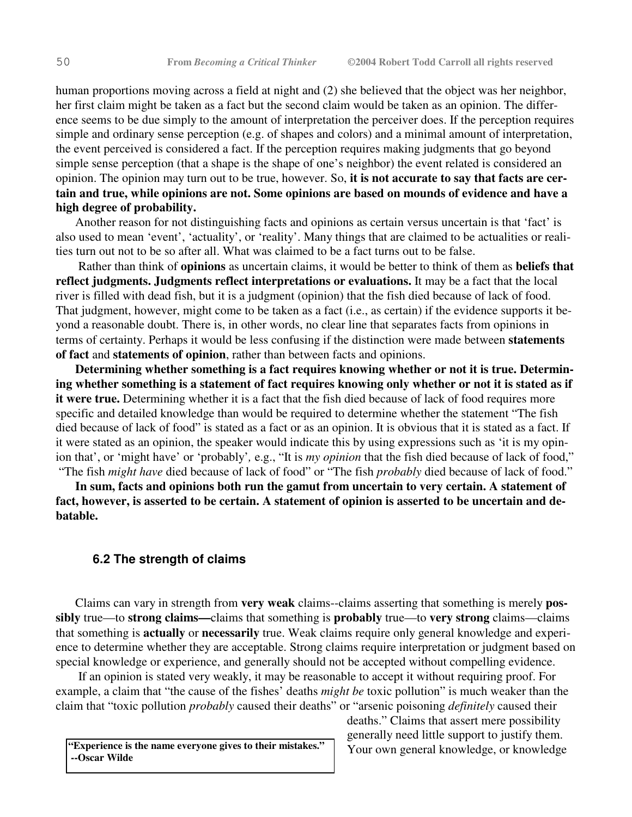human proportions moving across a field at night and (2) she believed that the object was her neighbor, her first claim might be taken as a fact but the second claim would be taken as an opinion. The difference seems to be due simply to the amount of interpretation the perceiver does. If the perception requires simple and ordinary sense perception (e.g. of shapes and colors) and a minimal amount of interpretation, the event perceived is considered a fact. If the perception requires making judgments that go beyond simple sense perception (that a shape is the shape of one's neighbor) the event related is considered an opinion. The opinion may turn out to be true, however. So, **it is not accurate to say that facts are certain and true, while opinions are not. Some opinions are based on mounds of evidence and have a high degree of probability.**

Another reason for not distinguishing facts and opinions as certain versus uncertain is that 'fact' is also used to mean 'event', 'actuality', or 'reality'. Many things that are claimed to be actualities or realities turn out not to be so after all. What was claimed to be a fact turns out to be false.

Rather than think of **opinions** as uncertain claims, it would be better to think of them as **beliefs that reflect judgments. Judgments reflect interpretations or evaluations.** It may be a fact that the local river is filled with dead fish, but it is a judgment (opinion) that the fish died because of lack of food. That judgment, however, might come to be taken as a fact (i.e., as certain) if the evidence supports it beyond a reasonable doubt. There is, in other words, no clear line that separates facts from opinions in terms of certainty. Perhaps it would be less confusing if the distinction were made between **statements of fact** and **statements of opinion**, rather than between facts and opinions.

**Determining whether something is a fact requires knowing whether or not it is true. Determin**ing whether something is a statement of fact requires knowing only whether or not it is stated as if **it were true.** Determining whether it is a fact that the fish died because of lack of food requires more specific and detailed knowledge than would be required to determine whether the statement "The fish died because of lack of food" is stated as a fact or as an opinion. It is obvious that it is stated as a fact. If it were stated as an opinion, the speaker would indicate this by using expressions such as 'it is my opinion that', or 'might have' or 'probably'*,* e.g., "It is *my opinion* that the fish died because of lack of food," "The fish *might have* died because of lack of food" or "The fish *probably* died because of lack of food."

**In sum, facts and opinions both run the gamut from uncertain to very certain. A statement of** fact, however, is asserted to be certain. A statement of opinion is asserted to be uncertain and de**batable.**

#### **6.2 The strength of claims**

Claims can vary in strength from **very weak** claims--claims asserting that something is merely **possibly** true—to **strong claims—**claims that something is **probably** true—to **very strong** claims—claims that something is **actually** or **necessarily** true. Weak claims require only general knowledge and experience to determine whether they are acceptable. Strong claims require interpretation or judgment based on special knowledge or experience, and generally should not be accepted without compelling evidence.

If an opinion is stated very weakly, it may be reasonable to accept it without requiring proof. For example, a claim that "the cause of the fishes' deaths *might be* toxic pollution" is much weaker than the claim that "toxic pollution *probably* caused their deaths" or "arsenic poisoning *definitely* caused their

> deaths." Claims that assert mere possibility generally need little support to justify them. Your own general knowledge, or knowledge

**"Experience is the name everyone gives to their mistakes." --Oscar Wilde**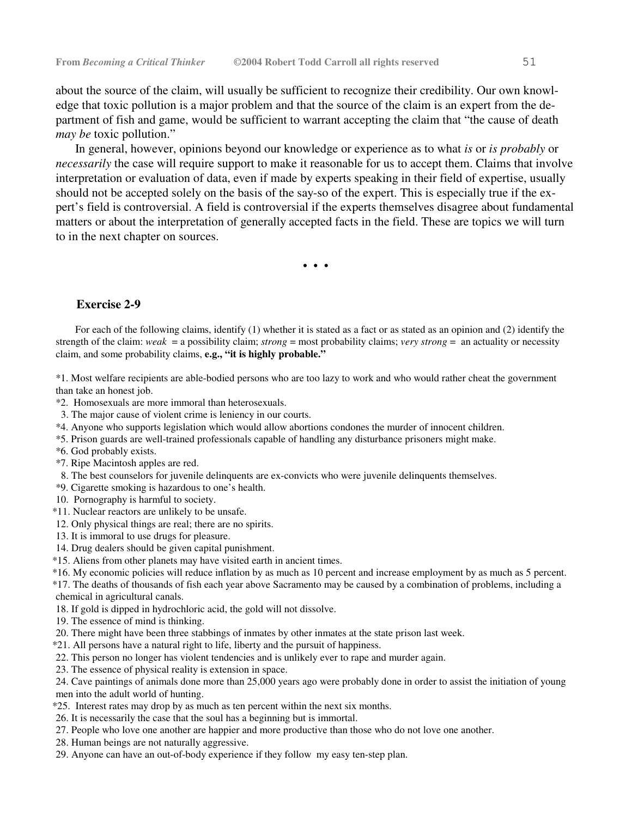about the source of the claim, will usually be sufficient to recognize their credibility. Our own knowledge that toxic pollution is a major problem and that the source of the claim is an expert from the department of fish and game, would be sufficient to warrant accepting the claim that "the cause of death *may be* toxic pollution."

In general, however, opinions beyond our knowledge or experience as to what *is* or *is probably* or *necessarily* the case will require support to make it reasonable for us to accept them. Claims that involve interpretation or evaluation of data, even if made by experts speaking in their field of expertise, usually should not be accepted solely on the basis of the say-so of the expert. This is especially true if the expert's field is controversial. A field is controversial if the experts themselves disagree about fundamental matters or about the interpretation of generally accepted facts in the field. These are topics we will turn to in the next chapter on sources.

• • •

#### **Exercise 2-9**

For each of the following claims, identify (1) whether it is stated as a fact or as stated as an opinion and (2) identify the strength of the claim: *weak* = a possibility claim; *strong* = most probability claims; *very strong* = an actuality or necessity claim, and some probability claims, **e.g., "it is highly probable."**

\*1. Most welfare recipients are able-bodied persons who are too lazy to work and who would rather cheat the government than take an honest job.

- \*2. Homosexuals are more immoral than heterosexuals.
- 3. The major cause of violent crime is leniency in our courts.
- \*4. Anyone who supports legislation which would allow abortions condones the murder of innocent children.
- \*5. Prison guards are well-trained professionals capable of handling any disturbance prisoners might make.
- \*6. God probably exists.
- \*7. Ripe Macintosh apples are red.
- 8. The best counselors for juvenile delinquents are ex-convicts who were juvenile delinquents themselves.
- \*9. Cigarette smoking is hazardous to one's health.
- 10. Pornography is harmful to society.
- \*11. Nuclear reactors are unlikely to be unsafe.
- 12. Only physical things are real; there are no spirits.
- 13. It is immoral to use drugs for pleasure.
- 14. Drug dealers should be given capital punishment.
- \*15. Aliens from other planets may have visited earth in ancient times.
- \*16. My economic policies will reduce inflation by as much as 10 percent and increase employment by as much as 5 percent.

\*17. The deaths of thousands of fish each year above Sacramento may be caused by a combination of problems, including a chemical in agricultural canals.

18. If gold is dipped in hydrochloric acid, the gold will not dissolve.

- 19. The essence of mind is thinking.
- 20. There might have been three stabbings of inmates by other inmates at the state prison last week.
- \*21. All persons have a natural right to life, liberty and the pursuit of happiness.
- 22. This person no longer has violent tendencies and is unlikely ever to rape and murder again.
- 23. The essence of physical reality is extension in space.

24. Cave paintings of animals done more than 25,000 years ago were probably done in order to assist the initiation of young men into the adult world of hunting.

- \*25. Interest rates may drop by as much as ten percent within the next six months.
- 26. It is necessarily the case that the soul has a beginning but is immortal.
- 27. People who love one another are happier and more productive than those who do not love one another.
- 28. Human beings are not naturally aggressive.
- 29. Anyone can have an out-of-body experience if they follow my easy ten-step plan.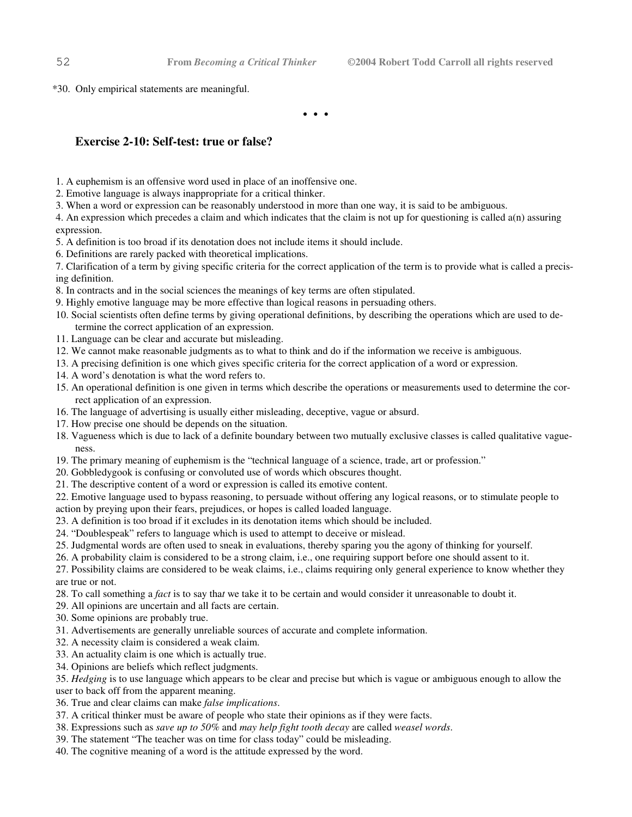\*30. Only empirical statements are meaningful.

• • •

## **Exercise 2-10: Self-test: true or false?**

- 1. A euphemism is an offensive word used in place of an inoffensive one.
- 2. Emotive language is always inappropriate for a critical thinker.
- 3. When a word or expression can be reasonably understood in more than one way, it is said to be ambiguous.

4. An expression which precedes a claim and which indicates that the claim is not up for questioning is called a(n) assuring expression.

- 5. A definition is too broad if its denotation does not include items it should include.
- 6. Definitions are rarely packed with theoretical implications.

7. Clarification of a term by giving specific criteria for the correct application of the term is to provide what is called a precising definition.

- 8. In contracts and in the social sciences the meanings of key terms are often stipulated.
- 9. Highly emotive language may be more effective than logical reasons in persuading others.
- 10. Social scientists often define terms by giving operational definitions, by describing the operations which are used to determine the correct application of an expression.
- 11. Language can be clear and accurate but misleading.
- 12. We cannot make reasonable judgments as to what to think and do if the information we receive is ambiguous.
- 13. A precising definition is one which gives specific criteria for the correct application of a word or expression.
- 14. A word's denotation is what the word refers to.
- 15. An operational definition is one given in terms which describe the operations or measurements used to determine the correct application of an expression.
- 16. The language of advertising is usually either misleading, deceptive, vague or absurd.
- 17. How precise one should be depends on the situation.
- 18. Vagueness which is due to lack of a definite boundary between two mutually exclusive classes is called qualitative vagueness.
- 19. The primary meaning of euphemism is the "technical language of a science, trade, art or profession."
- 20. Gobbledygook is confusing or convoluted use of words which obscures thought.
- 21. The descriptive content of a word or expression is called its emotive content.

22. Emotive language used to bypass reasoning, to persuade without offering any logical reasons, or to stimulate people to action by preying upon their fears, prejudices, or hopes is called loaded language.

- 23. A definition is too broad if it excludes in its denotation items which should be included.
- 24. "Doublespeak" refers to language which is used to attempt to deceive or mislead.
- 25. Judgmental words are often used to sneak in evaluations, thereby sparing you the agony of thinking for yourself.
- 26. A probability claim is considered to be a strong claim, i.e., one requiring support before one should assent to it.
- 27. Possibility claims are considered to be weak claims, i.e., claims requiring only general experience to know whether they are true or not.
- 28. To call something a *fact* is to say tha*t* we take it to be certain and would consider it unreasonable to doubt it.
- 29. All opinions are uncertain and all facts are certain.
- 30. Some opinions are probably true.
- 31. Advertisements are generally unreliable sources of accurate and complete information.
- 32. A necessity claim is considered a weak claim.
- 33. An actuality claim is one which is actually true.
- 34. Opinions are beliefs which reflect judgments.

35. *Hedging* is to use language which appears to be clear and precise but which is vague or ambiguous enough to allow the user to back off from the apparent meaning.

- 36. True and clear claims can make *false implications*.
- 37. A critical thinker must be aware of people who state their opinions as if they were facts.
- 38. Expressions such as *save up to 50%* and *may help fight tooth decay* are called *weasel words*.
- 39. The statement "The teacher was on time for class today" could be misleading.
- 40. The cognitive meaning of a word is the attitude expressed by the word.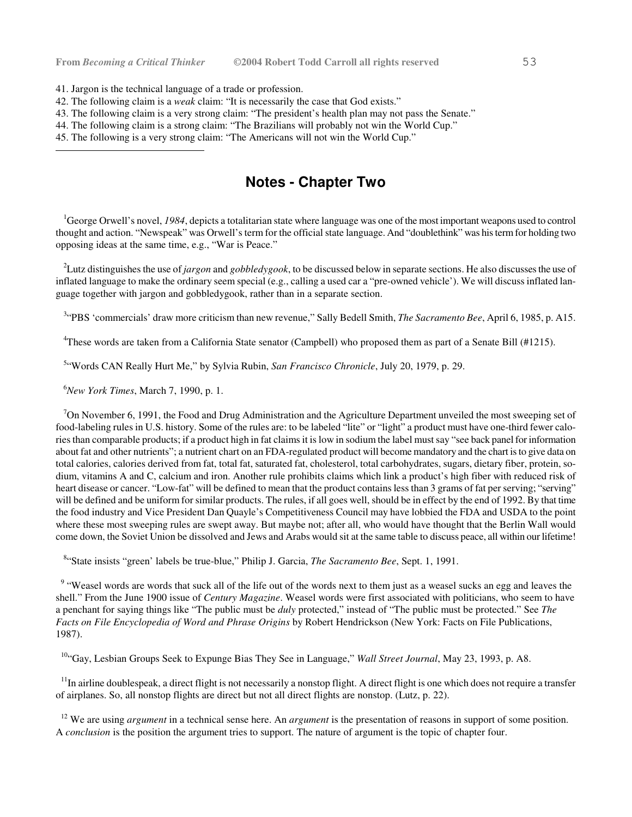$\overline{\phantom{0}}$ 

- 41. Jargon is the technical language of a trade or profession.
- 42. The following claim is a *weak* claim: "It is necessarily the case that God exists."
- 43. The following claim is a very strong claim: "The president's health plan may not pass the Senate."
- 44. The following claim is a strong claim: "The Brazilians will probably not win the World Cup."
- 45. The following is a very strong claim: "The Americans will not win the World Cup."

# **Notes - Chapter Two**

<sup>1</sup>George Orwell's novel, *1984*, depicts a totalitarian state where language was one ofthe most important weapons used to control thought and action. "Newspeak" was Orwell's term for the official state language. And "doublethink" was histerm for holding two opposing ideas at the same time, e.g., "War is Peace."

<sup>2</sup>Lutz distinguishes the use of *jargon* and *gobbledygook*, to be discussed below in separate sections. He also discusses the use of inflated language to make the ordinary seem special (e.g., calling a used car a "pre-owned vehicle'). We will discuss inflated language together with jargon and gobbledygook, rather than in a separate section.

3 "PBS 'commercials' draw more criticism than new revenue," Sally Bedell Smith, *The Sacramento Bee*, April 6, 1985, p. A15.

<sup>4</sup>These words are taken from a California State senator (Campbell) who proposed them as part of a Senate Bill (#1215).

5 "Words CAN Really Hurt Me," by Sylvia Rubin, *San Francisco Chronicle*, July 20, 1979, p. 29.

<sup>6</sup>*New York Times*, March 7, 1990, p. 1.

 $7$ On November 6, 1991, the Food and Drug Administration and the Agriculture Department unveiled the most sweeping set of food-labeling rules in U.S. history. Some of the rules are: to be labeled "lite" or "light" a product must have one-third fewer calories than comparable products; if a product high in fat claims it is low in sodium the label must say "see back panel for information about fat and other nutrients"; a nutrient chart on an FDA-regulated product will become mandatory and the chart isto give data on total calories, calories derived from fat, total fat, saturated fat, cholesterol, total carbohydrates, sugars, dietary fiber, protein, sodium, vitamins A and C, calcium and iron. Another rule prohibits claims which link a product's high fiber with reduced risk of heart disease or cancer. "Low-fat" will be defined to mean that the product contains less than 3 grams of fat per serving; "serving" will be defined and be uniform for similar products. The rules, if all goes well, should be in effect by the end of 1992. By that time the food industry and Vice President Dan Quayle's Competitiveness Council may have lobbied the FDA and USDA to the point where these most sweeping rules are swept away. But maybe not; after all, who would have thought that the Berlin Wall would come down, the Soviet Union be dissolved and Jews and Arabs would sit at the same table to discuss peace, all within our lifetime!

8 "State insists "green' labels be true-blue," Philip J. Garcia, *The Sacramento Bee*, Sept. 1, 1991.

<sup>9</sup> "Weasel words are words that suck all of the life out of the words next to them just as a weasel sucks an egg and leaves the shell." From the June 1900 issue of *Century Magazine*. Weasel words were first associated with politicians, who seem to have a penchant for saying things like "The public must be *duly* protected," instead of "The public must be protected." See *The Facts on File Encyclopedia of Word and Phrase Origins* by Robert Hendrickson (New York: Facts on File Publications, 1987).

<sup>10</sup>"Gay, Lesbian Groups Seek to Expunge Bias They See in Language," Wall Street Journal, May 23, 1993, p. A8.

<sup>11</sup>In airline doublespeak, a direct flight is not necessarily a nonstop flight. A direct flight is one which does not require a transfer of airplanes. So, all nonstop flights are direct but not all direct flights are nonstop. (Lutz, p. 22).

<sup>12</sup> We are using *argument* in a technical sense here. An *argument* is the presentation of reasons in support of some position. A *conclusion* is the position the argument tries to support. The nature of argument is the topic of chapter four.